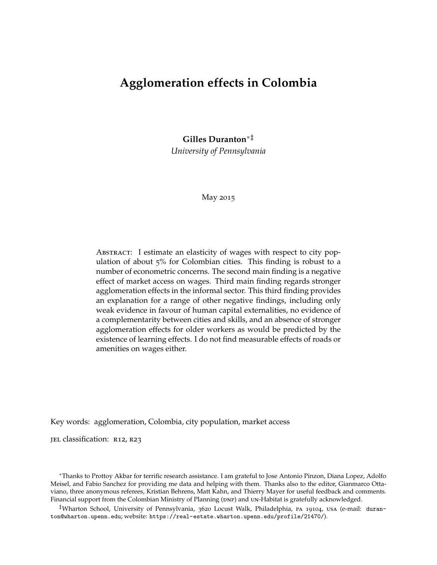# **Agglomeration effects in Colombia**

**Gilles Duranton**[∗](#page-0-0)[‡](#page-0-1)

*University of Pennsylvania*

May 2015

ABSTRACT: I estimate an elasticity of wages with respect to city population of about 5% for Colombian cities. This finding is robust to a number of econometric concerns. The second main finding is a negative effect of market access on wages. Third main finding regards stronger agglomeration effects in the informal sector. This third finding provides an explanation for a range of other negative findings, including only weak evidence in favour of human capital externalities, no evidence of a complementarity between cities and skills, and an absence of stronger agglomeration effects for older workers as would be predicted by the existence of learning effects. I do not find measurable effects of roads or amenities on wages either.

Key words: agglomeration, Colombia, city population, market access

JEL classification: R12, R23

<span id="page-0-0"></span><sup>∗</sup>Thanks to Prottoy Akbar for terrific research assistance. I am grateful to Jose Antonio Pinzon, Diana Lopez, Adolfo Meisel, and Fabio Sanchez for providing me data and helping with them. Thanks also to the editor, Gianmarco Ottaviano, three anonymous referees, Kristian Behrens, Matt Kahn, and Thierry Mayer for useful feedback and comments. Financial support from the Colombian Ministry of Planning (DNP) and UN-Habitat is gratefully acknowledged.

<span id="page-0-1"></span>‡Wharton School, University of Pennsylvania, 3620 Locust Walk, Philadelphia, pa 19104, usa (e-mail: [duran](mailto:duranton@wharton.upenn.edu)[ton@wharton.upenn.edu](mailto:duranton@wharton.upenn.edu); website: <https://real-estate.wharton.upenn.edu/profile/21470/>).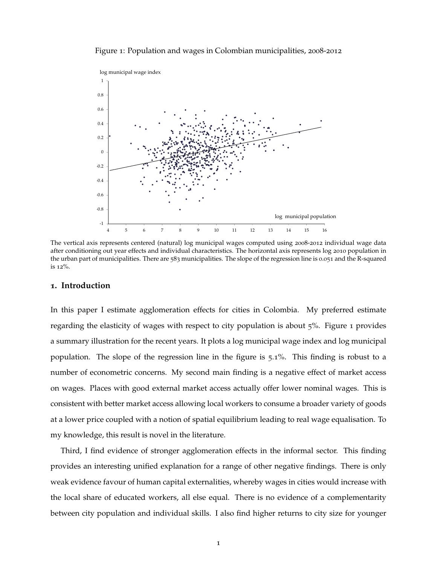<span id="page-1-0"></span>Figure 1: Population and wages in Colombian municipalities, 2008-2012



The vertical axis represents centered (natural) log municipal wages computed using 2008-2012 individual wage data after conditioning out year effects and individual characteristics. The horizontal axis represents log 2010 population in the urban part of municipalities. There are 583 municipalities. The slope of the regression line is 0.051 and the R-squared is 12%.

#### **1. Introduction**

In this paper I estimate agglomeration effects for cities in Colombia. My preferred estimate regarding the elasticity of wages with respect to city population is about 5%. Figure [1](#page-1-0) provides a summary illustration for the recent years. It plots a log municipal wage index and log municipal population. The slope of the regression line in the figure is 5.1%. This finding is robust to a number of econometric concerns. My second main finding is a negative effect of market access on wages. Places with good external market access actually offer lower nominal wages. This is consistent with better market access allowing local workers to consume a broader variety of goods at a lower price coupled with a notion of spatial equilibrium leading to real wage equalisation. To my knowledge, this result is novel in the literature.

Third, I find evidence of stronger agglomeration effects in the informal sector. This finding provides an interesting unified explanation for a range of other negative findings. There is only weak evidence favour of human capital externalities, whereby wages in cities would increase with the local share of educated workers, all else equal. There is no evidence of a complementarity between city population and individual skills. I also find higher returns to city size for younger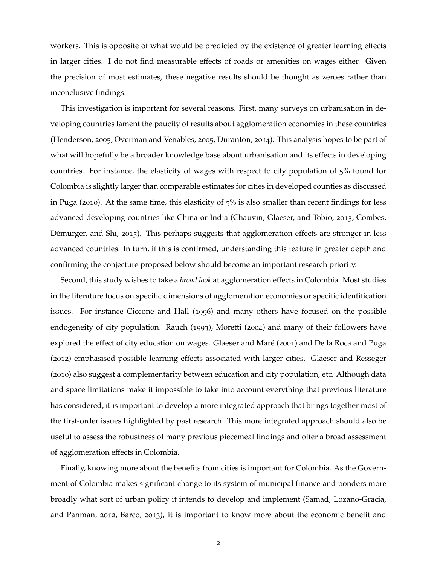workers. This is opposite of what would be predicted by the existence of greater learning effects in larger cities. I do not find measurable effects of roads or amenities on wages either. Given the precision of most estimates, these negative results should be thought as zeroes rather than inconclusive findings.

This investigation is important for several reasons. First, many surveys on urbanisation in developing countries lament the paucity of results about agglomeration economies in these countries [\(Henderson,](#page-37-0) [2005](#page-37-0), [Overman and Venables,](#page-37-1) [2005](#page-37-1), [Duranton,](#page-36-0) [2014](#page-36-0)). This analysis hopes to be part of what will hopefully be a broader knowledge base about urbanisation and its effects in developing countries. For instance, the elasticity of wages with respect to city population of 5% found for Colombia is slightly larger than comparable estimates for cities in developed counties as discussed in [Puga](#page-37-2) ([2010](#page-37-2)). At the same time, this elasticity of 5% is also smaller than recent findings for less advanced developing countries like China or India [\(Chauvin, Glaeser, and Tobio,](#page-35-0) [2013](#page-35-0), [Combes,](#page-35-1) [Démurger, and Shi,](#page-35-1) [2015](#page-35-1)). This perhaps suggests that agglomeration effects are stronger in less advanced countries. In turn, if this is confirmed, understanding this feature in greater depth and confirming the conjecture proposed below should become an important research priority.

Second, this study wishes to take a *broad look* at agglomeration effects in Colombia. Most studies in the literature focus on specific dimensions of agglomeration economies or specific identification issues. For instance [Ciccone and Hall](#page-35-2) ([1996](#page-35-2)) and many others have focused on the possible endogeneity of city population. [Rauch](#page-37-3) ([1993](#page-37-3)), [Moretti](#page-37-4) ([2004](#page-37-4)) and many of their followers have explored the effect of city education on wages. [Glaeser and Maré](#page-36-1) ([2001](#page-36-1)) and [De la Roca and Puga](#page-36-2) ([2012](#page-36-2)) emphasised possible learning effects associated with larger cities. [Glaeser and Resseger](#page-36-3) ([2010](#page-36-3)) also suggest a complementarity between education and city population, etc. Although data and space limitations make it impossible to take into account everything that previous literature has considered, it is important to develop a more integrated approach that brings together most of the first-order issues highlighted by past research. This more integrated approach should also be useful to assess the robustness of many previous piecemeal findings and offer a broad assessment of agglomeration effects in Colombia.

Finally, knowing more about the benefits from cities is important for Colombia. As the Government of Colombia makes significant change to its system of municipal finance and ponders more broadly what sort of urban policy it intends to develop and implement [\(Samad, Lozano-Gracia,](#page-38-0) [and Panman,](#page-38-0) [2012](#page-38-0), [Barco,](#page-35-3) [2013](#page-35-3)), it is important to know more about the economic benefit and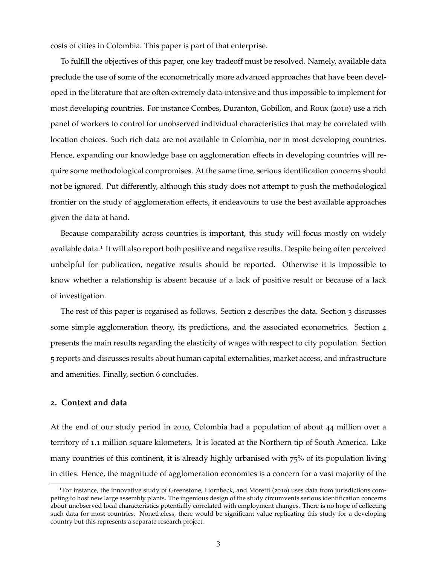costs of cities in Colombia. This paper is part of that enterprise.

To fulfill the objectives of this paper, one key tradeoff must be resolved. Namely, available data preclude the use of some of the econometrically more advanced approaches that have been developed in the literature that are often extremely data-intensive and thus impossible to implement for most developing countries. For instance [Combes, Duranton, Gobillon, and Roux](#page-35-4) ([2010](#page-35-4)) use a rich panel of workers to control for unobserved individual characteristics that may be correlated with location choices. Such rich data are not available in Colombia, nor in most developing countries. Hence, expanding our knowledge base on agglomeration effects in developing countries will require some methodological compromises. At the same time, serious identification concerns should not be ignored. Put differently, although this study does not attempt to push the methodological frontier on the study of agglomeration effects, it endeavours to use the best available approaches given the data at hand.

Because comparability across countries is important, this study will focus mostly on widely available data.<sup>[1](#page-3-0)</sup> It will also report both positive and negative results. Despite being often perceived unhelpful for publication, negative results should be reported. Otherwise it is impossible to know whether a relationship is absent because of a lack of positive result or because of a lack of investigation.

The rest of this paper is organised as follows. Section [2](#page-3-1) describes the data. Section [3](#page-8-0) discusses some simple agglomeration theory, its predictions, and the associated econometrics. Section [4](#page-13-0) presents the main results regarding the elasticity of wages with respect to city population. Section [5](#page-22-0) reports and discusses results about human capital externalities, market access, and infrastructure and amenities. Finally, section [6](#page-34-0) concludes.

### <span id="page-3-1"></span>**2. Context and data**

At the end of our study period in 2010, Colombia had a population of about 44 million over a territory of 1.1 million square kilometers. It is located at the Northern tip of South America. Like many countries of this continent, it is already highly urbanised with 75% of its population living in cities. Hence, the magnitude of agglomeration economies is a concern for a vast majority of the

<span id="page-3-0"></span><sup>1</sup>For instance, the innovative study of [Greenstone, Hornbeck, and Moretti](#page-36-4) ([2010](#page-36-4)) uses data from jurisdictions competing to host new large assembly plants. The ingenious design of the study circumvents serious identification concerns about unobserved local characteristics potentially correlated with employment changes. There is no hope of collecting such data for most countries. Nonetheless, there would be significant value replicating this study for a developing country but this represents a separate research project.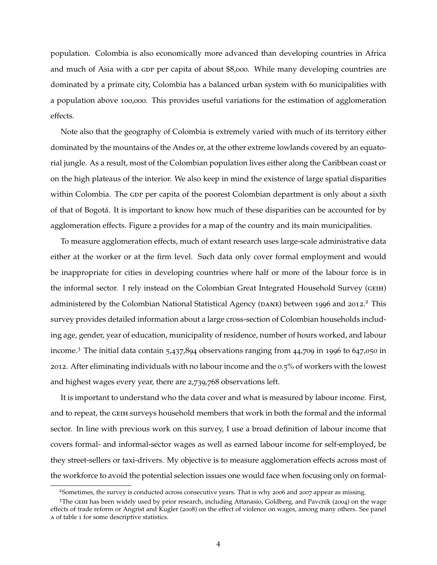population. Colombia is also economically more advanced than developing countries in Africa and much of Asia with a GDP per capita of about \$8,000. While many developing countries are dominated by a primate city, Colombia has a balanced urban system with 60 municipalities with a population above 100,000. This provides useful variations for the estimation of agglomeration effects.

Note also that the geography of Colombia is extremely varied with much of its territory either dominated by the mountains of the Andes or, at the other extreme lowlands covered by an equatorial jungle. As a result, most of the Colombian population lives either along the Caribbean coast or on the high plateaus of the interior. We also keep in mind the existence of large spatial disparities within Colombia. The GDP per capita of the poorest Colombian department is only about a sixth of that of Bogotá. It is important to know how much of these disparities can be accounted for by agglomeration effects. Figure [2](#page-5-0) provides for a map of the country and its main municipalities.

To measure agglomeration effects, much of extant research uses large-scale administrative data either at the worker or at the firm level. Such data only cover formal employment and would be inappropriate for cities in developing countries where half or more of the labour force is in the informal sector. I rely instead on the Colombian Great Integrated Household Survey (geih) administered by the Colombian National Statistical Agency (DANE) between 1996 and [2](#page-4-0)012.<sup>2</sup> This survey provides detailed information about a large cross-section of Colombian households including age, gender, year of education, municipality of residence, number of hours worked, and labour income.[3](#page-4-1) The initial data contain 5,437,894 observations ranging from 44,709 in 1996 to 647,050 in 2012. After eliminating individuals with no labour income and the 0.5% of workers with the lowest and highest wages every year, there are 2,739,768 observations left.

It is important to understand who the data cover and what is measured by labour income. First, and to repeat, the GEIH surveys household members that work in both the formal and the informal sector. In line with previous work on this survey, I use a broad definition of labour income that covers formal- and informal-sector wages as well as earned labour income for self-employed, be they street-sellers or taxi-drivers. My objective is to measure agglomeration effects across most of the workforce to avoid the potential selection issues one would face when focusing only on formal-

<span id="page-4-1"></span><span id="page-4-0"></span><sup>2</sup>Sometimes, the survey is conducted across consecutive years. That is why 2006 and 2007 appear as missing.

<sup>&</sup>lt;sup>3</sup>The GEIH has been widely used by prior research, including [Attanasio, Goldberg, and Pavcnik](#page-35-5) ([2004](#page-35-5)) on the wage effects of trade reform or [Angrist and Kugler](#page-35-6) ([2008](#page-35-6)) on the effect of violence on wages, among many others. See panel a of table [1](#page-6-0) for some descriptive statistics.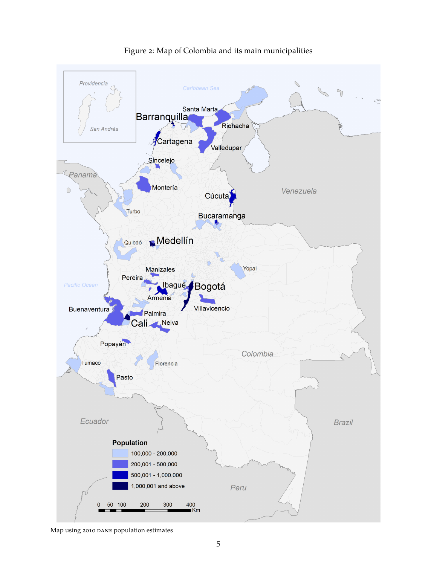

<span id="page-5-0"></span>Figure 2: Map of Colombia and its main municipalities

Map using 2010 DANE population estimates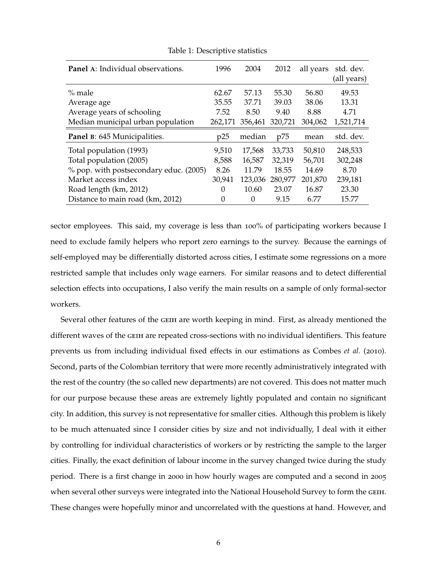| Panel A: Individual observations.      | 1996     | 2004    | 2012    | all years | std. dev.<br>(all years) |
|----------------------------------------|----------|---------|---------|-----------|--------------------------|
| $%$ male                               | 62.67    | 57.13   | 55.30   | 56.80     | 49.53                    |
| Average age                            | 35.55    | 37.71   | 39.03   | 38.06     | 13.31                    |
| Average years of schooling             | 7.52     | 8.50    | 9.40    | 8.88      | 4.71                     |
| Median municipal urban population      | 262,171  | 356,461 | 320,721 | 304,062   | 1,521,714                |
| Panel B: 645 Municipalities.           | p25      | median  | p75     | mean      | std. dev.                |
| Total population (1993)                | 9,510    | 17,568  | 33,733  | 50,810    | 248,533                  |
| Total population (2005)                | 8,588    | 16,587  | 32,319  | 56,701    | 302,248                  |
| % pop. with postsecondary educ. (2005) | 8.26     | 11.79   | 18.55   | 14.69     | 8.70                     |
| Market access index                    | 30,941   | 123,036 | 280,977 | 201,870   | 239,181                  |
| Road length (km, 2012)                 | 0        | 10.60   | 23.07   | 16.87     | 23.30                    |
| Distance to main road (km, 2012)       | $\theta$ | 0       | 9.15    | 6.77      | 15.77                    |

<span id="page-6-0"></span>Table 1: Descriptive statistics

sector employees. This said, my coverage is less than 100% of participating workers because I need to exclude family helpers who report zero earnings to the survey. Because the earnings of self-employed may be differentially distorted across cities, I estimate some regressions on a more restricted sample that includes only wage earners. For similar reasons and to detect differential selection effects into occupations, I also verify the main results on a sample of only formal-sector workers.

Several other features of the GEIH are worth keeping in mind. First, as already mentioned the different waves of the geih are repeated cross-sections with no individual identifiers. This feature prevents us from including individual fixed effects in our estimations as [Combes](#page-35-4) *et al.* ([2010](#page-35-4)). Second, parts of the Colombian territory that were more recently administratively integrated with the rest of the country (the so called new departments) are not covered. This does not matter much for our purpose because these areas are extremely lightly populated and contain no significant city. In addition, this survey is not representative for smaller cities. Although this problem is likely to be much attenuated since I consider cities by size and not individually, I deal with it either by controlling for individual characteristics of workers or by restricting the sample to the larger cities. Finally, the exact definition of labour income in the survey changed twice during the study period. There is a first change in 2000 in how hourly wages are computed and a second in 2005 when several other surveys were integrated into the National Household Survey to form the GEIH. These changes were hopefully minor and uncorrelated with the questions at hand. However, and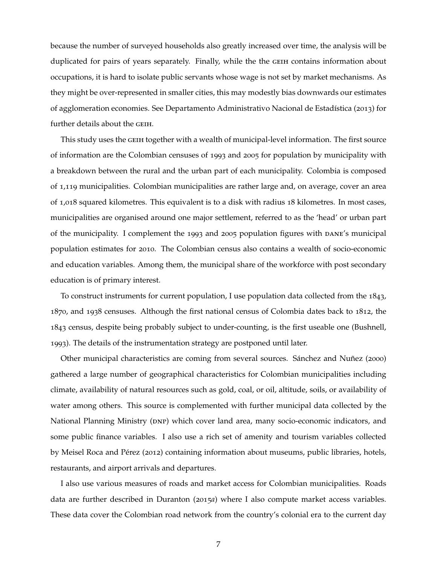because the number of surveyed households also greatly increased over time, the analysis will be duplicated for pairs of years separately. Finally, while the the GEIH contains information about occupations, it is hard to isolate public servants whose wage is not set by market mechanisms. As they might be over-represented in smaller cities, this may modestly bias downwards our estimates of agglomeration economies. See [Departamento Administrativo Nacional de Estadística](#page-36-5) ([2013](#page-36-5)) for further details about the GEIH.

This study uses the GEIH together with a wealth of municipal-level information. The first source of information are the Colombian censuses of 1993 and 2005 for population by municipality with a breakdown between the rural and the urban part of each municipality. Colombia is composed of 1,119 municipalities. Colombian municipalities are rather large and, on average, cover an area of 1,018 squared kilometres. This equivalent is to a disk with radius 18 kilometres. In most cases, municipalities are organised around one major settlement, referred to as the 'head' or urban part of the municipality. I complement the 1993 and 2005 population figures with DANE's municipal population estimates for 2010. The Colombian census also contains a wealth of socio-economic and education variables. Among them, the municipal share of the workforce with post secondary education is of primary interest.

To construct instruments for current population, I use population data collected from the 1843, , and 1938 censuses. Although the first national census of Colombia dates back to 1812, the census, despite being probably subject to under-counting, is the first useable one [\(Bushnell,](#page-35-7) ). The details of the instrumentation strategy are postponed until later.

Other municipal characteristics are coming from several sources. [Sánchez and Nuñez](#page-38-1) ([2000](#page-38-1)) gathered a large number of geographical characteristics for Colombian municipalities including climate, availability of natural resources such as gold, coal, or oil, altitude, soils, or availability of water among others. This source is complemented with further municipal data collected by the National Planning Ministry (DNP) which cover land area, many socio-economic indicators, and some public finance variables. I also use a rich set of amenity and tourism variables collected by [Meisel Roca and Pérez](#page-37-5) ([2012](#page-37-5)) containing information about museums, public libraries, hotels, restaurants, and airport arrivals and departures.

I also use various measures of roads and market access for Colombian municipalities. Roads data are further described in [Duranton](#page-36-6) ([2015](#page-36-6)*a*) where I also compute market access variables. These data cover the Colombian road network from the country's colonial era to the current day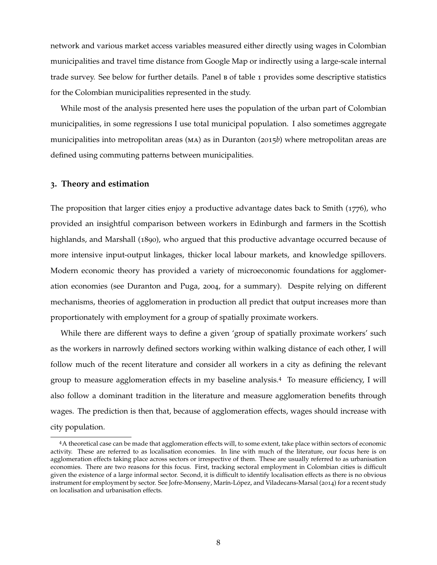network and various market access variables measured either directly using wages in Colombian municipalities and travel time distance from Google Map or indirectly using a large-scale internal trade survey. See below for further details. Panel  $B$  of table [1](#page-6-0) provides some descriptive statistics for the Colombian municipalities represented in the study.

While most of the analysis presented here uses the population of the urban part of Colombian municipalities, in some regressions I use total municipal population. I also sometimes aggregate municipalities into metropolitan areas (ma) as in [Duranton](#page-36-7) ([2015](#page-36-7)*b*) where metropolitan areas are defined using commuting patterns between municipalities.

## <span id="page-8-0"></span>**3. Theory and estimation**

The proposition that larger cities enjoy a productive advantage dates back to [Smith](#page-38-2) ([1776](#page-38-2)), who provided an insightful comparison between workers in Edinburgh and farmers in the Scottish highlands, and [Marshall](#page-37-6) ([1890](#page-37-6)), who argued that this productive advantage occurred because of more intensive input-output linkages, thicker local labour markets, and knowledge spillovers. Modern economic theory has provided a variety of microeconomic foundations for agglomeration economies (see [Duranton and Puga,](#page-36-8) [2004](#page-36-8), for a summary). Despite relying on different mechanisms, theories of agglomeration in production all predict that output increases more than proportionately with employment for a group of spatially proximate workers.

While there are different ways to define a given 'group of spatially proximate workers' such as the workers in narrowly defined sectors working within walking distance of each other, I will follow much of the recent literature and consider all workers in a city as defining the relevant group to measure agglomeration effects in my baseline analysis.[4](#page-8-1) To measure efficiency, I will also follow a dominant tradition in the literature and measure agglomeration benefits through wages. The prediction is then that, because of agglomeration effects, wages should increase with city population.

<span id="page-8-1"></span><sup>4</sup>A theoretical case can be made that agglomeration effects will, to some extent, take place within sectors of economic activity. These are referred to as localisation economies. In line with much of the literature, our focus here is on agglomeration effects taking place across sectors or irrespective of them. These are usually referred to as urbanisation economies. There are two reasons for this focus. First, tracking sectoral employment in Colombian cities is difficult given the existence of a large informal sector. Second, it is difficult to identify localisation effects as there is no obvious instrument for employment by sector. See [Jofre-Monseny, Marín-López, and Viladecans-Marsal](#page-37-7) ([2014](#page-37-7)) for a recent study on localisation and urbanisation effects.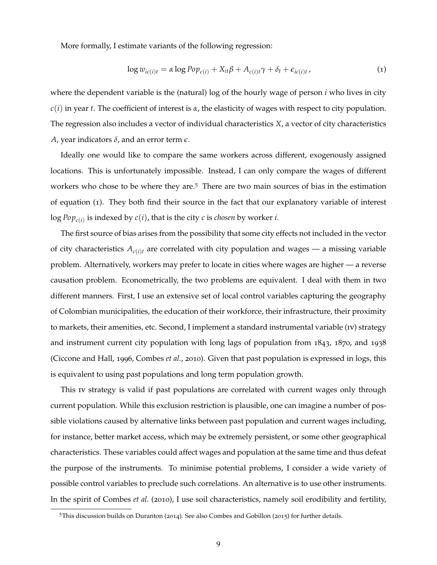More formally, I estimate variants of the following regression:

<span id="page-9-1"></span>
$$
\log w_{ic(i)t} = \alpha \log P \circ p_{c(i)} + X_{it}\beta + A_{c(i)t}\gamma + \delta_t + \epsilon_{ic(i)t}, \qquad (1)
$$

where the dependent variable is the (natural) log of the hourly wage of person *i* who lives in city *c*(*i*) in year *t*. The coefficient of interest is *α*, the elasticity of wages with respect to city population. The regression also includes a vector of individual characteristics *X*, a vector of city characteristics *A*, year indicators *δ*, and an error term *e*.

Ideally one would like to compare the same workers across different, exogenously assigned locations. This is unfortunately impossible. Instead, I can only compare the wages of different workers who chose to be where they are.<sup>[5](#page-9-0)</sup> There are two main sources of bias in the estimation of equation ([1](#page-9-1)). They both find their source in the fact that our explanatory variable of interest log *Popc*(*i*) is indexed by *c*(*i*), that is the city *c* is *chosen* by worker *i*.

The first source of bias arises from the possibility that some city effects not included in the vector of city characteristics  $A_{c(i)t}$  are correlated with city population and wages — a missing variable problem. Alternatively, workers may prefer to locate in cities where wages are higher — a reverse causation problem. Econometrically, the two problems are equivalent. I deal with them in two different manners. First, I use an extensive set of local control variables capturing the geography of Colombian municipalities, the education of their workforce, their infrastructure, their proximity to markets, their amenities, etc. Second, I implement a standard instrumental variable (iv) strategy and instrument current city population with long lags of population from 1843, 1870, and 1938 [\(Ciccone and Hall,](#page-35-2) [1996](#page-35-2), [Combes](#page-35-4) *et al.*, [2010](#page-35-4)). Given that past population is expressed in logs, this is equivalent to using past populations and long term population growth.

This iv strategy is valid if past populations are correlated with current wages only through current population. While this exclusion restriction is plausible, one can imagine a number of possible violations caused by alternative links between past population and current wages including, for instance, better market access, which may be extremely persistent, or some other geographical characteristics. These variables could affect wages and population at the same time and thus defeat the purpose of the instruments. To minimise potential problems, I consider a wide variety of possible control variables to preclude such correlations. An alternative is to use other instruments. In the spirit of [Combes](#page-35-4) *et al.* ([2010](#page-35-4)), I use soil characteristics, namely soil erodibility and fertility,

<span id="page-9-0"></span><sup>5</sup>This discussion builds on [Duranton](#page-36-0) ([2014](#page-36-0)). See also [Combes and Gobillon](#page-35-8) ([2015](#page-35-8)) for further details.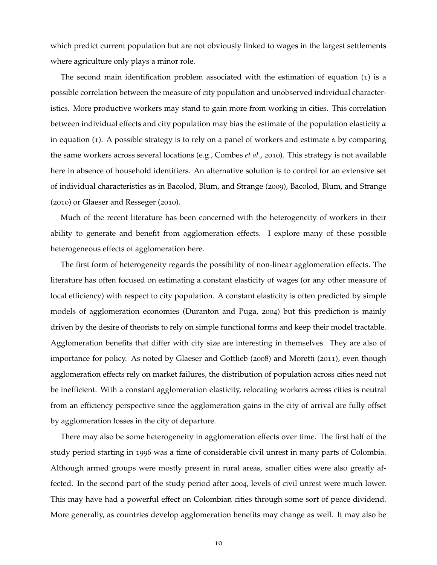which predict current population but are not obviously linked to wages in the largest settlements where agriculture only plays a minor role.

The second main identification problem associated with the estimation of equation ([1](#page-9-1)) is a possible correlation between the measure of city population and unobserved individual characteristics. More productive workers may stand to gain more from working in cities. This correlation between individual effects and city population may bias the estimate of the population elasticity *α* in equation ([1](#page-9-1)). A possible strategy is to rely on a panel of workers and estimate *α* by comparing the same workers across several locations (e.g., [Combes](#page-35-4) *et al.*, [2010](#page-35-4)). This strategy is not available here in absence of household identifiers. An alternative solution is to control for an extensive set of individual characteristics as in [Bacolod, Blum, and Strange](#page-35-9) ([2009](#page-35-9)), [Bacolod, Blum, and Strange](#page-35-10) ([2010](#page-35-10)) or [Glaeser and Resseger](#page-36-3) ([2010](#page-36-3)).

Much of the recent literature has been concerned with the heterogeneity of workers in their ability to generate and benefit from agglomeration effects. I explore many of these possible heterogeneous effects of agglomeration here.

The first form of heterogeneity regards the possibility of non-linear agglomeration effects. The literature has often focused on estimating a constant elasticity of wages (or any other measure of local efficiency) with respect to city population. A constant elasticity is often predicted by simple models of agglomeration economies [\(Duranton and Puga,](#page-36-8) [2004](#page-36-8)) but this prediction is mainly driven by the desire of theorists to rely on simple functional forms and keep their model tractable. Agglomeration benefits that differ with city size are interesting in themselves. They are also of importance for policy. As noted by [Glaeser and Gottlieb](#page-36-9) ([2008](#page-36-9)) and [Moretti](#page-37-8) ([2011](#page-37-8)), even though agglomeration effects rely on market failures, the distribution of population across cities need not be inefficient. With a constant agglomeration elasticity, relocating workers across cities is neutral from an efficiency perspective since the agglomeration gains in the city of arrival are fully offset by agglomeration losses in the city of departure.

There may also be some heterogeneity in agglomeration effects over time. The first half of the study period starting in 1996 was a time of considerable civil unrest in many parts of Colombia. Although armed groups were mostly present in rural areas, smaller cities were also greatly affected. In the second part of the study period after 2004, levels of civil unrest were much lower. This may have had a powerful effect on Colombian cities through some sort of peace dividend. More generally, as countries develop agglomeration benefits may change as well. It may also be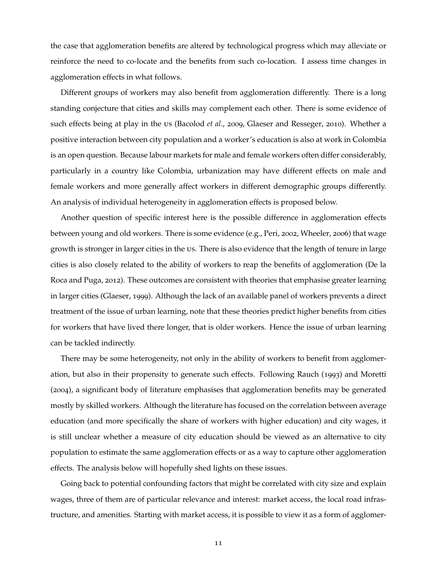the case that agglomeration benefits are altered by technological progress which may alleviate or reinforce the need to co-locate and the benefits from such co-location. I assess time changes in agglomeration effects in what follows.

Different groups of workers may also benefit from agglomeration differently. There is a long standing conjecture that cities and skills may complement each other. There is some evidence of such effects being at play in the us [\(Bacolod](#page-35-9) *et al.*, [2009](#page-35-9), [Glaeser and Resseger,](#page-36-3) [2010](#page-36-3)). Whether a positive interaction between city population and a worker's education is also at work in Colombia is an open question. Because labour markets for male and female workers often differ considerably, particularly in a country like Colombia, urbanization may have different effects on male and female workers and more generally affect workers in different demographic groups differently. An analysis of individual heterogeneity in agglomeration effects is proposed below.

Another question of specific interest here is the possible difference in agglomeration effects between young and old workers. There is some evidence (e.g., [Peri,](#page-37-9) [2002](#page-37-9), [Wheeler,](#page-38-3) [2006](#page-38-3)) that wage growth is stronger in larger cities in the us. There is also evidence that the length of tenure in large cities is also closely related to the ability of workers to reap the benefits of agglomeration [\(De la](#page-36-2) [Roca and Puga,](#page-36-2) [2012](#page-36-2)). These outcomes are consistent with theories that emphasise greater learning in larger cities [\(Glaeser,](#page-36-10) [1999](#page-36-10)). Although the lack of an available panel of workers prevents a direct treatment of the issue of urban learning, note that these theories predict higher benefits from cities for workers that have lived there longer, that is older workers. Hence the issue of urban learning can be tackled indirectly.

There may be some heterogeneity, not only in the ability of workers to benefit from agglomeration, but also in their propensity to generate such effects. Following [Rauch](#page-37-3) ([1993](#page-37-3)) and [Moretti](#page-37-4) ([2004](#page-37-4)), a significant body of literature emphasises that agglomeration benefits may be generated mostly by skilled workers. Although the literature has focused on the correlation between average education (and more specifically the share of workers with higher education) and city wages, it is still unclear whether a measure of city education should be viewed as an alternative to city population to estimate the same agglomeration effects or as a way to capture other agglomeration effects. The analysis below will hopefully shed lights on these issues.

Going back to potential confounding factors that might be correlated with city size and explain wages, three of them are of particular relevance and interest: market access, the local road infrastructure, and amenities. Starting with market access, it is possible to view it as a form of agglomer-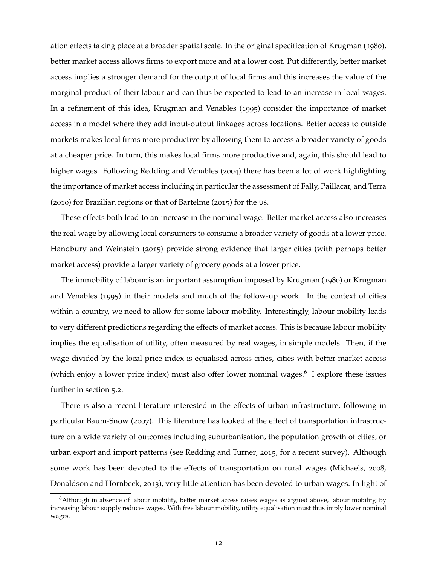ation effects taking place at a broader spatial scale. In the original specification of [Krugman](#page-37-10) ([1980](#page-37-10)), better market access allows firms to export more and at a lower cost. Put differently, better market access implies a stronger demand for the output of local firms and this increases the value of the marginal product of their labour and can thus be expected to lead to an increase in local wages. In a refinement of this idea, [Krugman and Venables](#page-37-11) ([1995](#page-37-11)) consider the importance of market access in a model where they add input-output linkages across locations. Better access to outside markets makes local firms more productive by allowing them to access a broader variety of goods at a cheaper price. In turn, this makes local firms more productive and, again, this should lead to higher wages. Following [Redding and Venables](#page-37-12) ([2004](#page-37-12)) there has been a lot of work highlighting the importance of market access including in particular the assessment of [Fally, Paillacar, and Terra](#page-36-11) ([2010](#page-36-11)) for Brazilian regions or that of [Bartelme](#page-35-11) ([2015](#page-35-11)) for the us.

These effects both lead to an increase in the nominal wage. Better market access also increases the real wage by allowing local consumers to consume a broader variety of goods at a lower price. [Handbury and Weinstein](#page-37-13) ([2015](#page-37-13)) provide strong evidence that larger cities (with perhaps better market access) provide a larger variety of grocery goods at a lower price.

The immobility of labour is an important assumption imposed by [Krugman](#page-37-10) ([1980](#page-37-10)) or [Krugman](#page-37-11) [and Venables](#page-37-11) ([1995](#page-37-11)) in their models and much of the follow-up work. In the context of cities within a country, we need to allow for some labour mobility. Interestingly, labour mobility leads to very different predictions regarding the effects of market access. This is because labour mobility implies the equalisation of utility, often measured by real wages, in simple models. Then, if the wage divided by the local price index is equalised across cities, cities with better market access (which enjoy a lower price index) must also offer lower nominal wages.<sup>[6](#page-12-0)</sup> I explore these issues further in section [5](#page-25-0).2.

There is also a recent literature interested in the effects of urban infrastructure, following in particular [Baum-Snow](#page-35-12) ([2007](#page-35-12)). This literature has looked at the effect of transportation infrastructure on a wide variety of outcomes including suburbanisation, the population growth of cities, or urban export and import patterns (see [Redding and Turner,](#page-37-14) [2015](#page-37-14), for a recent survey). Although some work has been devoted to the effects of transportation on rural wages [\(Michaels,](#page-37-15) [2008](#page-37-15), [Donaldson and Hornbeck,](#page-36-12) [2013](#page-36-12)), very little attention has been devoted to urban wages. In light of

<span id="page-12-0"></span> $6$ Although in absence of labour mobility, better market access raises wages as argued above, labour mobility, by increasing labour supply reduces wages. With free labour mobility, utility equalisation must thus imply lower nominal wages.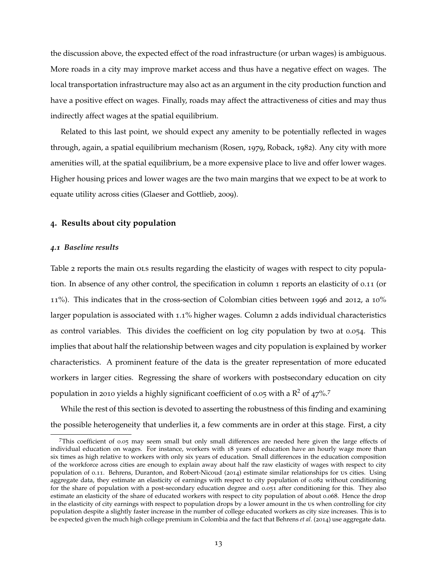the discussion above, the expected effect of the road infrastructure (or urban wages) is ambiguous. More roads in a city may improve market access and thus have a negative effect on wages. The local transportation infrastructure may also act as an argument in the city production function and have a positive effect on wages. Finally, roads may affect the attractiveness of cities and may thus indirectly affect wages at the spatial equilibrium.

Related to this last point, we should expect any amenity to be potentially reflected in wages through, again, a spatial equilibrium mechanism [\(Rosen,](#page-38-4) [1979](#page-38-4), [Roback,](#page-37-16) [1982](#page-37-16)). Any city with more amenities will, at the spatial equilibrium, be a more expensive place to live and offer lower wages. Higher housing prices and lower wages are the two main margins that we expect to be at work to equate utility across cities [\(Glaeser and Gottlieb,](#page-36-13) [2009](#page-36-13)).

## <span id="page-13-0"></span>**4. Results about city population**

### *4.1 Baseline results*

Table [2](#page-14-0) reports the main ols results regarding the elasticity of wages with respect to city population. In absence of any other control, the specification in column 1 reports an elasticity of 0.11 (or 11%). This indicates that in the cross-section of Colombian cities between 1996 and 2012, a 10% larger population is associated with 1.1% higher wages. Column 2 adds individual characteristics as control variables. This divides the coefficient on log city population by two at 0.054. This implies that about half the relationship between wages and city population is explained by worker characteristics. A prominent feature of the data is the greater representation of more educated workers in larger cities. Regressing the share of workers with postsecondary education on city population in 2010 yields a highly significant coefficient of 0.05 with a  $R^2$  of 4[7](#page-13-1)%.<sup>7</sup>

While the rest of this section is devoted to asserting the robustness of this finding and examining the possible heterogeneity that underlies it, a few comments are in order at this stage. First, a city

<span id="page-13-1"></span><sup>7</sup>This coefficient of 0.05 may seem small but only small differences are needed here given the large effects of individual education on wages. For instance, workers with 18 years of education have an hourly wage more than six times as high relative to workers with only six years of education. Small differences in the education composition of the workforce across cities are enough to explain away about half the raw elasticity of wages with respect to city population of 0.11. [Behrens, Duranton, and Robert-Nicoud](#page-35-13) ([2014](#page-35-13)) estimate similar relationships for us cities. Using aggregate data, they estimate an elasticity of earnings with respect to city population of 0.082 without conditioning for the share of population with a post-secondary education degree and 0.051 after conditioning for this. They also estimate an elasticity of the share of educated workers with respect to city population of about 0.068. Hence the drop in the elasticity of city earnings with respect to population drops by a lower amount in the us when controlling for city population despite a slightly faster increase in the number of college educated workers as city size increases. This is to be expected given the much high college premium in Colombia and the fact that [Behrens](#page-35-13) *et al.* ([2014](#page-35-13)) use aggregate data.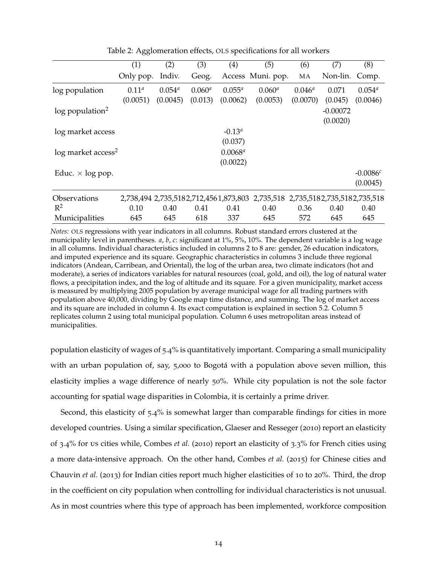|                                  | (1)                  | (2)                     | (3)                    | (4)                    | (5)                                                                             | (6)                     | (7)                    | (8)                     |
|----------------------------------|----------------------|-------------------------|------------------------|------------------------|---------------------------------------------------------------------------------|-------------------------|------------------------|-------------------------|
|                                  | Only pop.            | Indiv.                  | Geog.                  |                        | Access Muni. pop.                                                               | MA                      | Non-lin.               | Comp.                   |
| log population                   | $0.11^a$<br>(0.0051) | $0.054^{a}$<br>(0.0045) | $0.060^{a}$<br>(0.013) | $0.055^a$<br>(0.0062)  | $0.060^{a}$<br>(0.0053)                                                         | $0.046^{a}$<br>(0.0070) | 0.071<br>(0.045)       | $0.054^{a}$<br>(0.0046) |
| $log$ population <sup>2</sup>    |                      |                         |                        |                        |                                                                                 |                         | $-0.00072$<br>(0.0020) |                         |
| log market access                |                      |                         |                        | $-0.13^a$<br>(0.037)   |                                                                                 |                         |                        |                         |
| $log$ market access <sup>2</sup> |                      |                         |                        | $0.0068^a$<br>(0.0022) |                                                                                 |                         |                        |                         |
| Educ. $\times$ log pop.          |                      |                         |                        |                        |                                                                                 |                         |                        | $-0.0086c$<br>(0.0045)  |
| Observations                     |                      |                         |                        |                        | 2,738,494 2,735,518 2,712,456 1,873,803 2,735,518 2,735,518 2,735,518 2,735,518 |                         |                        |                         |
| $R^2$                            | 0.10                 | 0.40                    | 0.41                   | 0.41                   | 0.40                                                                            | 0.36                    | 0.40                   | 0.40                    |
| Municipalities                   | 645                  | 645                     | 618                    | 337                    | 645                                                                             | 572                     | 645                    | 645                     |

<span id="page-14-0"></span>Table 2: Agglomeration effects, OLS specifications for all workers

*Notes:* OLS regressions with year indicators in all columns. Robust standard errors clustered at the municipality level in parentheses. *a*, *b*, *c*: significant at 1%, 5%, 10%. The dependent variable is a log wage in all columns. Individual characteristics included in columns 2 to 8 are: gender, 26 education indicators, and imputed experience and its square. Geographic characteristics in columns 3 include three regional indicators (Andean, Carribean, and Oriental), the log of the urban area, two climate indicators (hot and moderate), a series of indicators variables for natural resources (coal, gold, and oil), the log of natural water flows, a precipitation index, and the log of altitude and its square. For a given municipality, market access is measured by multiplying 2005 population by average municipal wage for all trading partners with population above 40,000, dividing by Google map time distance, and summing. The log of market access and its square are included in column 4. Its exact computation is explained in section [5.2.](#page-25-0) Column 5 replicates column 2 using total municipal population. Column 6 uses metropolitan areas instead of municipalities.

population elasticity of wages of 5.4% is quantitatively important. Comparing a small municipality with an urban population of, say, 5,000 to Bogotá with a population above seven million, this elasticity implies a wage difference of nearly 50%. While city population is not the sole factor accounting for spatial wage disparities in Colombia, it is certainly a prime driver.

Second, this elasticity of 5.4% is somewhat larger than comparable findings for cities in more developed countries. Using a similar specification, [Glaeser and Resseger](#page-36-3) ([2010](#page-36-3)) report an elasticity of 3.4% for us cities while, [Combes](#page-35-4) *et al.* ([2010](#page-35-4)) report an elasticity of 3.3% for French cities using a more data-intensive approach. On the other hand, [Combes](#page-35-1) *et al.* ([2015](#page-35-1)) for Chinese cities and [Chauvin](#page-35-0) *et al.* ([2013](#page-35-0)) for Indian cities report much higher elasticities of 10 to 20%. Third, the drop in the coefficient on city population when controlling for individual characteristics is not unusual. As in most countries where this type of approach has been implemented, workforce composition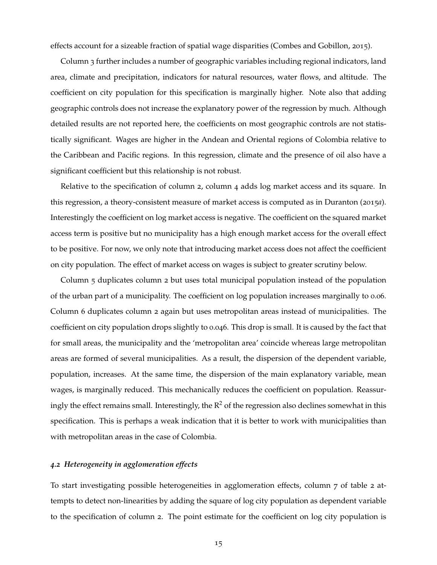effects account for a sizeable fraction of spatial wage disparities [\(Combes and Gobillon,](#page-35-8) [2015](#page-35-8)).

Column 3 further includes a number of geographic variables including regional indicators, land area, climate and precipitation, indicators for natural resources, water flows, and altitude. The coefficient on city population for this specification is marginally higher. Note also that adding geographic controls does not increase the explanatory power of the regression by much. Although detailed results are not reported here, the coefficients on most geographic controls are not statistically significant. Wages are higher in the Andean and Oriental regions of Colombia relative to the Caribbean and Pacific regions. In this regression, climate and the presence of oil also have a significant coefficient but this relationship is not robust.

Relative to the specification of column 2, column 4 adds log market access and its square. In this regression, a theory-consistent measure of market access is computed as in [Duranton](#page-36-6) ([2015](#page-36-6)*a*). Interestingly the coefficient on log market access is negative. The coefficient on the squared market access term is positive but no municipality has a high enough market access for the overall effect to be positive. For now, we only note that introducing market access does not affect the coefficient on city population. The effect of market access on wages is subject to greater scrutiny below.

Column 5 duplicates column 2 but uses total municipal population instead of the population of the urban part of a municipality. The coefficient on log population increases marginally to 0.06. Column 6 duplicates column 2 again but uses metropolitan areas instead of municipalities. The coefficient on city population drops slightly to 0.046. This drop is small. It is caused by the fact that for small areas, the municipality and the 'metropolitan area' coincide whereas large metropolitan areas are formed of several municipalities. As a result, the dispersion of the dependent variable, population, increases. At the same time, the dispersion of the main explanatory variable, mean wages, is marginally reduced. This mechanically reduces the coefficient on population. Reassuringly the effect remains small. Interestingly, the  $\mathbb{R}^2$  of the regression also declines somewhat in this specification. This is perhaps a weak indication that it is better to work with municipalities than with metropolitan areas in the case of Colombia.

## *4.2 Heterogeneity in agglomeration effects*

To start investigating possible heterogeneities in agglomeration effects, column 7 of table [2](#page-14-0) attempts to detect non-linearities by adding the square of log city population as dependent variable to the specification of column 2. The point estimate for the coefficient on log city population is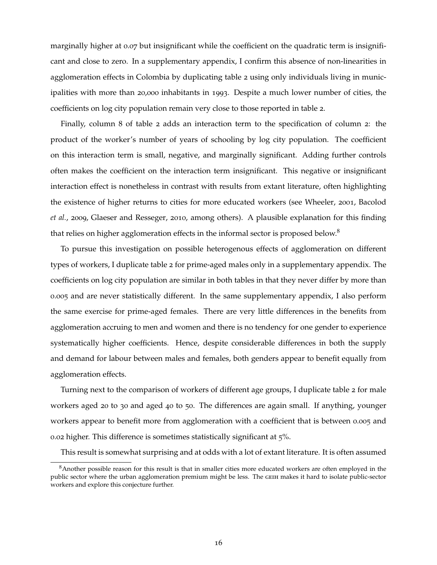marginally higher at 0.07 but insignificant while the coefficient on the quadratic term is insignificant and close to zero. In a supplementary appendix, I confirm this absence of non-linearities in agglomeration effects in Colombia by duplicating table [2](#page-14-0) using only individuals living in municipalities with more than 20,000 inhabitants in 1993. Despite a much lower number of cities, the coefficients on log city population remain very close to those reported in table [2](#page-14-0).

Finally, column 8 of table [2](#page-14-0) adds an interaction term to the specification of column 2: the product of the worker's number of years of schooling by log city population. The coefficient on this interaction term is small, negative, and marginally significant. Adding further controls often makes the coefficient on the interaction term insignificant. This negative or insignificant interaction effect is nonetheless in contrast with results from extant literature, often highlighting the existence of higher returns to cities for more educated workers (see [Wheeler,](#page-38-5) [2001](#page-38-5), [Bacolod](#page-35-9) *[et al.](#page-35-9)*, [2009](#page-35-9), [Glaeser and Resseger,](#page-36-3) [2010](#page-36-3), among others). A plausible explanation for this finding that relies on higher agglomeration effects in the informal sector is proposed below.<sup>[8](#page-16-0)</sup>

To pursue this investigation on possible heterogenous effects of agglomeration on different types of workers, I duplicate table [2](#page-14-0) for prime-aged males only in a supplementary appendix. The coefficients on log city population are similar in both tables in that they never differ by more than 0.005 and are never statistically different. In the same supplementary appendix, I also perform the same exercise for prime-aged females. There are very little differences in the benefits from agglomeration accruing to men and women and there is no tendency for one gender to experience systematically higher coefficients. Hence, despite considerable differences in both the supply and demand for labour between males and females, both genders appear to benefit equally from agglomeration effects.

Turning next to the comparison of workers of different age groups, I duplicate table [2](#page-14-0) for male workers aged 20 to 30 and aged 40 to 50. The differences are again small. If anything, younger workers appear to benefit more from agglomeration with a coefficient that is between 0.005 and 0.02 higher. This difference is sometimes statistically significant at 5%.

This result is somewhat surprising and at odds with a lot of extant literature. It is often assumed

<span id="page-16-0"></span><sup>&</sup>lt;sup>8</sup>Another possible reason for this result is that in smaller cities more educated workers are often employed in the public sector where the urban agglomeration premium might be less. The GEIH makes it hard to isolate public-sector workers and explore this conjecture further.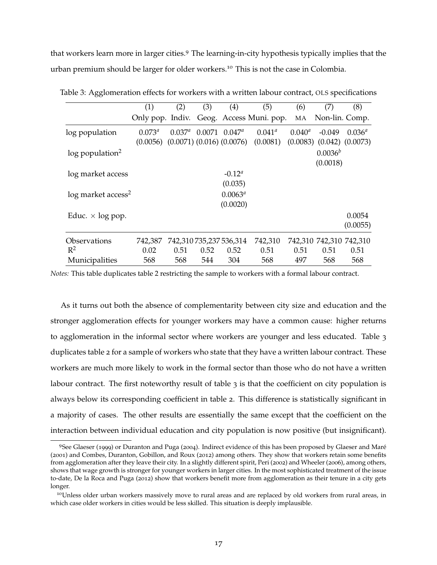that workers learn more in larger cities.[9](#page-17-0) The learning-in-city hypothesis typically implies that the urban premium should be larger for older workers.[10](#page-17-1) This is not the case in Colombia.

|                                  | (1)                | (2)                             | (3)  | (4)                     | (5)                     | (6)       | (7)                     | (8)                  |
|----------------------------------|--------------------|---------------------------------|------|-------------------------|-------------------------|-----------|-------------------------|----------------------|
|                                  | Only pop. Indiv.   |                                 |      |                         | Geog. Access Muni. pop. | MA        | Non-lin. Comp.          |                      |
| log population                   | 0.073 <sup>a</sup> | $0.037^{\circ}$                 |      | $0.0071$ $0.047a$       | $0.041^{\circ}$         | $0.040^a$ | $-0.049$                | $0.036^{a}$          |
|                                  | (0.0056)           | $(0.0071)$ $(0.016)$ $(0.0076)$ |      |                         | (0.0081)                | (0.0083)  |                         | $(0.042)$ $(0.0073)$ |
| $log$ population <sup>2</sup>    |                    |                                 |      |                         |                         |           | $0.0036^{b}$            |                      |
|                                  |                    |                                 |      |                         |                         |           | (0.0018)                |                      |
| log market access                |                    |                                 |      | $-0.12^{\alpha}$        |                         |           |                         |                      |
|                                  |                    |                                 |      | (0.035)                 |                         |           |                         |                      |
| $log$ market access <sup>2</sup> |                    |                                 |      | $0.0063^a$              |                         |           |                         |                      |
|                                  |                    |                                 |      | (0.0020)                |                         |           |                         |                      |
| Educ. $\times$ log pop.          |                    |                                 |      |                         |                         |           |                         | 0.0054               |
|                                  |                    |                                 |      |                         |                         |           |                         | (0.0055)             |
| Observations                     | 742,387            |                                 |      | 742,310 735,237 536,314 | 742,310                 |           | 742,310 742,310 742,310 |                      |
| $R^2$                            | 0.02               | 0.51                            | 0.52 | 0.52                    | 0.51                    | 0.51      | 0.51                    | 0.51                 |
| Municipalities                   | 568                | 568                             | 544  | 304                     | 568                     | 497       | 568                     | 568                  |

<span id="page-17-2"></span>Table 3: Agglomeration effects for workers with a written labour contract, OLS specifications

*Notes:* This table duplicates table [2](#page-14-0) restricting the sample to workers with a formal labour contract.

As it turns out both the absence of complementarity between city size and education and the stronger agglomeration effects for younger workers may have a common cause: higher returns to agglomeration in the informal sector where workers are younger and less educated. Table [3](#page-17-2) duplicates table [2](#page-14-0) for a sample of workers who state that they have a written labour contract. These workers are much more likely to work in the formal sector than those who do not have a written labour contract. The first noteworthy result of table [3](#page-17-2) is that the coefficient on city population is always below its corresponding coefficient in table [2](#page-14-0). This difference is statistically significant in a majority of cases. The other results are essentially the same except that the coefficient on the interaction between individual education and city population is now positive (but insignificant).

<span id="page-17-0"></span><sup>9</sup>See [Glaeser](#page-36-10) ([1999](#page-36-10)) or [Duranton and Puga](#page-36-8) ([2004](#page-36-8)). Indirect evidence of this has been proposed by [Glaeser and Maré](#page-36-1) ([2001](#page-36-1)) and [Combes, Duranton, Gobillon, and Roux](#page-35-14) ([2012](#page-35-14)) among others. They show that workers retain some benefits from agglomeration after they leave their city. In a slightly different spirit, [Peri](#page-37-9) ([2002](#page-37-9)) and [Wheeler](#page-38-3) ([2006](#page-38-3)), among others, shows that wage growth is stronger for younger workers in larger cities. In the most sophisticated treatment of the issue to-date, [De la Roca and Puga](#page-36-2) ([2012](#page-36-2)) show that workers benefit more from agglomeration as their tenure in a city gets longer.

<span id="page-17-1"></span><sup>&</sup>lt;sup>10</sup>Unless older urban workers massively move to rural areas and are replaced by old workers from rural areas, in which case older workers in cities would be less skilled. This situation is deeply implausible.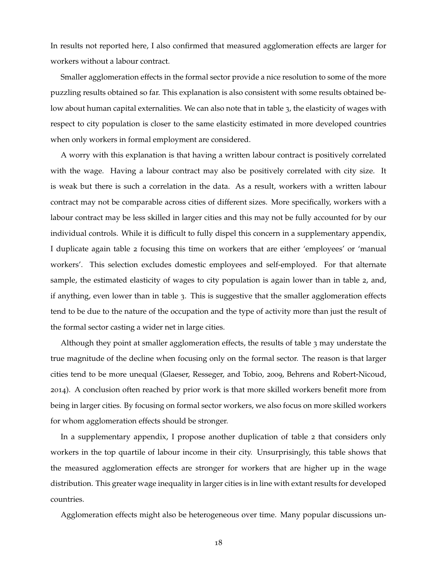In results not reported here, I also confirmed that measured agglomeration effects are larger for workers without a labour contract.

Smaller agglomeration effects in the formal sector provide a nice resolution to some of the more puzzling results obtained so far. This explanation is also consistent with some results obtained below about human capital externalities. We can also note that in table [3](#page-17-2), the elasticity of wages with respect to city population is closer to the same elasticity estimated in more developed countries when only workers in formal employment are considered.

A worry with this explanation is that having a written labour contract is positively correlated with the wage. Having a labour contract may also be positively correlated with city size. It is weak but there is such a correlation in the data. As a result, workers with a written labour contract may not be comparable across cities of different sizes. More specifically, workers with a labour contract may be less skilled in larger cities and this may not be fully accounted for by our individual controls. While it is difficult to fully dispel this concern in a supplementary appendix, I duplicate again table [2](#page-14-0) focusing this time on workers that are either 'employees' or 'manual workers'. This selection excludes domestic employees and self-employed. For that alternate sample, the estimated elasticity of wages to city population is again lower than in table [2](#page-14-0), and, if anything, even lower than in table [3](#page-17-2). This is suggestive that the smaller agglomeration effects tend to be due to the nature of the occupation and the type of activity more than just the result of the formal sector casting a wider net in large cities.

Although they point at smaller agglomeration effects, the results of table [3](#page-17-2) may understate the true magnitude of the decline when focusing only on the formal sector. The reason is that larger cities tend to be more unequal [\(Glaeser, Resseger, and Tobio,](#page-36-14) [2009](#page-36-14), [Behrens and Robert-Nicoud,](#page-35-15) [2014](#page-35-15)). A conclusion often reached by prior work is that more skilled workers benefit more from being in larger cities. By focusing on formal sector workers, we also focus on more skilled workers for whom agglomeration effects should be stronger.

In a supplementary appendix, I propose another duplication of table [2](#page-14-0) that considers only workers in the top quartile of labour income in their city. Unsurprisingly, this table shows that the measured agglomeration effects are stronger for workers that are higher up in the wage distribution. This greater wage inequality in larger cities is in line with extant results for developed countries.

Agglomeration effects might also be heterogeneous over time. Many popular discussions un-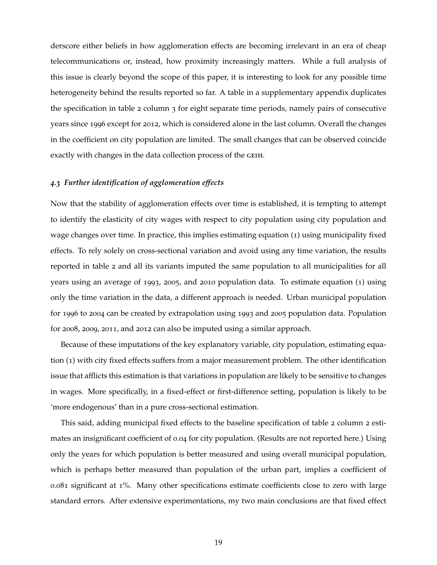derscore either beliefs in how agglomeration effects are becoming irrelevant in an era of cheap telecommunications or, instead, how proximity increasingly matters. While a full analysis of this issue is clearly beyond the scope of this paper, it is interesting to look for any possible time heterogeneity behind the results reported so far. A table in a supplementary appendix duplicates the specification in table [2](#page-14-0) column 3 for eight separate time periods, namely pairs of consecutive years since 1996 except for 2012, which is considered alone in the last column. Overall the changes in the coefficient on city population are limited. The small changes that can be observed coincide exactly with changes in the data collection process of the GEIH.

### *4.3 Further identification of agglomeration effects*

Now that the stability of agglomeration effects over time is established, it is tempting to attempt to identify the elasticity of city wages with respect to city population using city population and wage changes over time. In practice, this implies estimating equation ([1](#page-9-1)) using municipality fixed effects. To rely solely on cross-sectional variation and avoid using any time variation, the results reported in table [2](#page-14-0) and all its variants imputed the same population to all municipalities for all years using an average of 1993, 2005, and 2010 population data. To estimate equation ([1](#page-9-1)) using only the time variation in the data, a different approach is needed. Urban municipal population for 1996 to 2004 can be created by extrapolation using 1993 and 2005 population data. Population for 2008, 2009, 2011, and 2012 can also be imputed using a similar approach.

Because of these imputations of the key explanatory variable, city population, estimating equation ([1](#page-9-1)) with city fixed effects suffers from a major measurement problem. The other identification issue that afflicts this estimation is that variations in population are likely to be sensitive to changes in wages. More specifically, in a fixed-effect or first-difference setting, population is likely to be 'more endogenous' than in a pure cross-sectional estimation.

This said, adding municipal fixed effects to the baseline specification of table [2](#page-14-0) column 2 estimates an insignificant coefficient of 0.04 for city population. (Results are not reported here.) Using only the years for which population is better measured and using overall municipal population, which is perhaps better measured than population of the urban part, implies a coefficient of 0.081 significant at 1%. Many other specifications estimate coefficients close to zero with large standard errors. After extensive experimentations, my two main conclusions are that fixed effect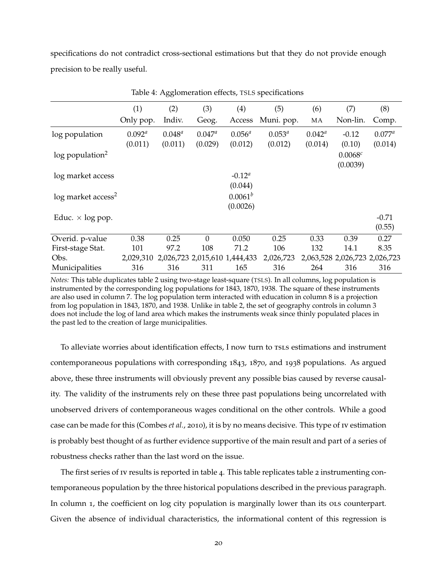specifications do not contradict cross-sectional estimations but that they do not provide enough precision to be really useful.

|                                  | (1)                  | (2)                  | (3)                           | (4)                         | (5)                    | (6)                        | (7)                           | (8)                  |
|----------------------------------|----------------------|----------------------|-------------------------------|-----------------------------|------------------------|----------------------------|-------------------------------|----------------------|
|                                  | Only pop.            | Indiv.               | Geog.                         | Access                      | Muni. pop.             | MA                         | Non-lin.                      | Comp.                |
| log population                   | $0.092^a$<br>(0.011) | $0.048^a$<br>(0.011) | $0.047^a$<br>(0.029)          | $0.056^{a}$<br>(0.012)      | $0.053^{a}$<br>(0.012) | $0.042^{\circ}$<br>(0.014) | $-0.12$<br>(0.10)             | $0.077^a$<br>(0.014) |
| $log$ population <sup>2</sup>    |                      |                      |                               |                             |                        |                            | 0.0068c<br>(0.0039)           |                      |
| log market access                |                      |                      |                               | $-0.12^{\alpha}$<br>(0.044) |                        |                            |                               |                      |
| $log$ market access <sup>2</sup> |                      |                      |                               | $0.0061^b$<br>(0.0026)      |                        |                            |                               |                      |
| Educ. $\times$ log pop.          |                      |                      |                               |                             |                        |                            |                               | $-0.71$<br>(0.55)    |
| Overid. p-value                  | 0.38                 | 0.25                 | $\theta$                      | 0.050                       | 0.25                   | 0.33                       | 0.39                          | 0.27                 |
| First-stage Stat.                | 101                  | 97.2                 | 108                           | 71.2                        | 106                    | 132                        | 14.1                          | 8.35                 |
| Obs.                             | 2,029,310            |                      | 2,026,723 2,015,610 1,444,433 |                             | 2,026,723              |                            | 2,063,528 2,026,723 2,026,723 |                      |
| Municipalities                   | 316                  | 316                  | 311                           | 165                         | 316                    | 264                        | 316                           | 316                  |

<span id="page-20-0"></span>Table 4: Agglomeration effects, TSLS specifications

*Notes:* This table duplicates table [2](#page-14-0) using two-stage least-square (TSLS). In all columns, log population is instrumented by the corresponding log populations for 1843, 1870, 1938. The square of these instruments are also used in column 7. The log population term interacted with education in column 8 is a projection from log population in 1843, 1870, and 1938. Unlike in table [2,](#page-14-0) the set of geography controls in column 3 does not include the log of land area which makes the instruments weak since thinly populated places in the past led to the creation of large municipalities.

To alleviate worries about identification effects, I now turn to rsls estimations and instrument contemporaneous populations with corresponding 1843, 1870, and 1938 populations. As argued above, these three instruments will obviously prevent any possible bias caused by reverse causality. The validity of the instruments rely on these three past populations being uncorrelated with unobserved drivers of contemporaneous wages conditional on the other controls. While a good case can be made for this [\(Combes](#page-35-4) *et al.*, [2010](#page-35-4)), it is by no means decisive. This type of iv estimation is probably best thought of as further evidence supportive of the main result and part of a series of robustness checks rather than the last word on the issue.

The first series of iv results is reported in table [4](#page-20-0). This table replicates table [2](#page-14-0) instrumenting contemporaneous population by the three historical populations described in the previous paragraph. In column 1, the coefficient on log city population is marginally lower than its ols counterpart. Given the absence of individual characteristics, the informational content of this regression is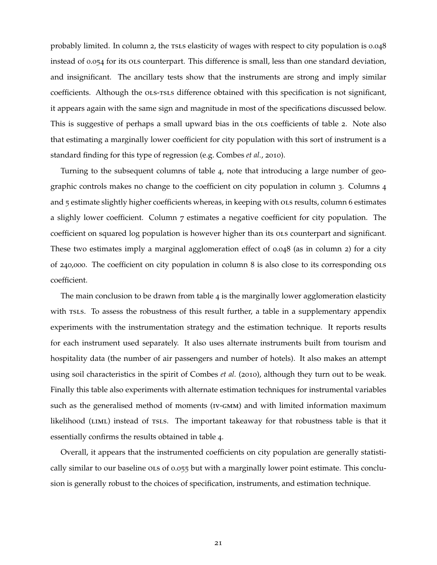probably limited. In column 2, the rsls elasticity of wages with respect to city population is 0.048 instead of 0.054 for its ols counterpart. This difference is small, less than one standard deviation, and insignificant. The ancillary tests show that the instruments are strong and imply similar coefficients. Although the OLS-TSLS difference obtained with this specification is not significant, it appears again with the same sign and magnitude in most of the specifications discussed below. This is suggestive of perhaps a small upward bias in the ola coefficients of table [2](#page-14-0). Note also that estimating a marginally lower coefficient for city population with this sort of instrument is a standard finding for this type of regression (e.g. [Combes](#page-35-4) *et al.*, [2010](#page-35-4)).

Turning to the subsequent columns of table [4](#page-20-0), note that introducing a large number of geographic controls makes no change to the coefficient on city population in column 3. Columns 4 and 5 estimate slightly higher coefficients whereas, in keeping with OLS results, column 6 estimates a slighly lower coefficient. Column 7 estimates a negative coefficient for city population. The coefficient on squared log population is however higher than its ols counterpart and significant. These two estimates imply a marginal agglomeration effect of 0.048 (as in column 2) for a city of 240,000. The coefficient on city population in column 8 is also close to its corresponding ols coefficient.

The main conclusion to be drawn from table  $4$  is the marginally lower agglomeration elasticity with rsls. To assess the robustness of this result further, a table in a supplementary appendix experiments with the instrumentation strategy and the estimation technique. It reports results for each instrument used separately. It also uses alternate instruments built from tourism and hospitality data (the number of air passengers and number of hotels). It also makes an attempt using soil characteristics in the spirit of [Combes](#page-35-4) *et al.* ([2010](#page-35-4)), although they turn out to be weak. Finally this table also experiments with alternate estimation techniques for instrumental variables such as the generalised method of moments (IV-GMM) and with limited information maximum likelihood (LIML) instead of TSLS. The important takeaway for that robustness table is that it essentially confirms the results obtained in table [4](#page-20-0).

Overall, it appears that the instrumented coefficients on city population are generally statistically similar to our baseline ols of 0.055 but with a marginally lower point estimate. This conclusion is generally robust to the choices of specification, instruments, and estimation technique.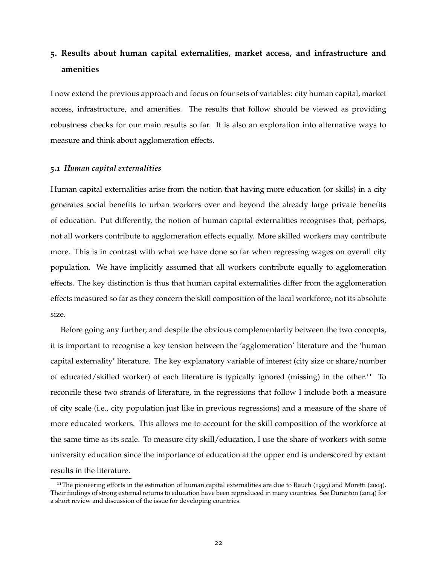# <span id="page-22-0"></span>**5. Results about human capital externalities, market access, and infrastructure and amenities**

I now extend the previous approach and focus on four sets of variables: city human capital, market access, infrastructure, and amenities. The results that follow should be viewed as providing robustness checks for our main results so far. It is also an exploration into alternative ways to measure and think about agglomeration effects.

### *5.1 Human capital externalities*

Human capital externalities arise from the notion that having more education (or skills) in a city generates social benefits to urban workers over and beyond the already large private benefits of education. Put differently, the notion of human capital externalities recognises that, perhaps, not all workers contribute to agglomeration effects equally. More skilled workers may contribute more. This is in contrast with what we have done so far when regressing wages on overall city population. We have implicitly assumed that all workers contribute equally to agglomeration effects. The key distinction is thus that human capital externalities differ from the agglomeration effects measured so far as they concern the skill composition of the local workforce, not its absolute size.

Before going any further, and despite the obvious complementarity between the two concepts, it is important to recognise a key tension between the 'agglomeration' literature and the 'human capital externality' literature. The key explanatory variable of interest (city size or share/number of educated/skilled worker) of each literature is typically ignored (missing) in the other.[11](#page-22-1) To reconcile these two strands of literature, in the regressions that follow I include both a measure of city scale (i.e., city population just like in previous regressions) and a measure of the share of more educated workers. This allows me to account for the skill composition of the workforce at the same time as its scale. To measure city skill/education, I use the share of workers with some university education since the importance of education at the upper end is underscored by extant results in the literature.

<span id="page-22-1"></span><sup>&</sup>lt;sup>11</sup>The pioneering efforts in the estimation of human capital externalities are due to [Rauch](#page-37-3) ([1993](#page-37-3)) and [Moretti](#page-37-4) ([2004](#page-37-4)). Their findings of strong external returns to education have been reproduced in many countries. See [Duranton](#page-36-0) ([2014](#page-36-0)) for a short review and discussion of the issue for developing countries.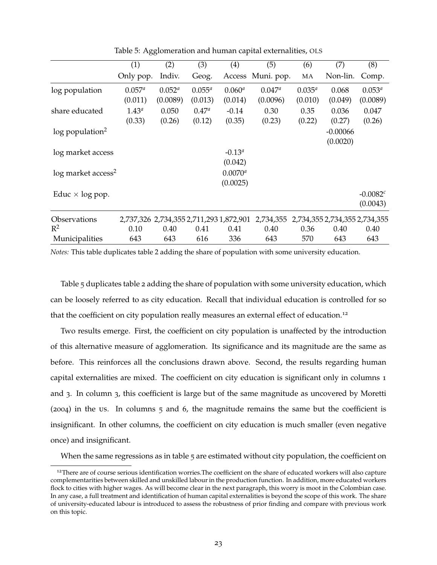|                                  | (1)                                     | (2)                     | (3)                      | (4)                      | (5)                   | (6)                    | (7)                           | (8)                     |
|----------------------------------|-----------------------------------------|-------------------------|--------------------------|--------------------------|-----------------------|------------------------|-------------------------------|-------------------------|
|                                  | Only pop.                               | Indiv.                  | Geog.                    | Access                   | Muni. pop.            | MA                     | Non-lin.                      | Comp.                   |
| log population                   | $0.057^{a}$<br>(0.011)                  | $0.052^{a}$<br>(0.0089) | $0.055^{a}$<br>(0.013)   | $0.060^a$<br>(0.014)     | $0.047^a$<br>(0.0096) | $0.035^{a}$<br>(0.010) | 0.068<br>(0.049)              | $0.053^{a}$<br>(0.0089) |
| share educated                   | $1.43^{a}$<br>(0.33)                    | 0.050<br>(0.26)         | $0.47^{\circ}$<br>(0.12) | $-0.14$<br>(0.35)        | 0.30<br>(0.23)        | 0.35<br>(0.22)         | 0.036<br>(0.27)               | 0.047<br>(0.26)         |
| $log$ population <sup>2</sup>    |                                         |                         |                          |                          |                       |                        | $-0.00066$<br>(0.0020)        |                         |
| log market access                |                                         |                         |                          | $-0.13^a$<br>(0.042)     |                       |                        |                               |                         |
| $log$ market access <sup>2</sup> |                                         |                         |                          | $0.0070^{a}$<br>(0.0025) |                       |                        |                               |                         |
| Educ $\times$ log pop.           |                                         |                         |                          |                          |                       |                        |                               | $-0.0082c$<br>(0.0043)  |
| <b>Observations</b>              | 2,737,326 2,734,355 2,711,293 1,872,901 |                         |                          |                          | 2,734,355             |                        | 2,734,355 2,734,355 2,734,355 |                         |
| $R^2$                            | 0.10                                    | 0.40                    | 0.41                     | 0.41                     | 0.40                  | 0.36                   | 0.40                          | 0.40                    |
| Municipalities                   | 643                                     | 643                     | 616                      | 336                      | 643                   | 570                    | 643                           | 643                     |

<span id="page-23-0"></span>Table 5: Agglomeration and human capital externalities, OLS

*Notes:* This table duplicates table [2](#page-14-0) adding the share of population with some university education.

Table [5](#page-23-0) duplicates table [2](#page-14-0) adding the share of population with some university education, which can be loosely referred to as city education. Recall that individual education is controlled for so that the coefficient on city population really measures an external effect of education.<sup>[12](#page-23-1)</sup>

Two results emerge. First, the coefficient on city population is unaffected by the introduction of this alternative measure of agglomeration. Its significance and its magnitude are the same as before. This reinforces all the conclusions drawn above. Second, the results regarding human capital externalities are mixed. The coefficient on city education is significant only in columns 1 and 3. In column 3, this coefficient is large but of the same magnitude as uncovered by [Moretti](#page-37-4) ([2004](#page-37-4)) in the us. In columns 5 and 6, the magnitude remains the same but the coefficient is insignificant. In other columns, the coefficient on city education is much smaller (even negative once) and insignificant.

When the same regressions as in table [5](#page-23-0) are estimated without city population, the coefficient on

<span id="page-23-1"></span><sup>&</sup>lt;sup>12</sup>There are of course serious identification worries. The coefficient on the share of educated workers will also capture complementarities between skilled and unskilled labour in the production function. In addition, more educated workers flock to cities with higher wages. As will become clear in the next paragraph, this worry is moot in the Colombian case. In any case, a full treatment and identification of human capital externalities is beyond the scope of this work. The share of university-educated labour is introduced to assess the robustness of prior finding and compare with previous work on this topic.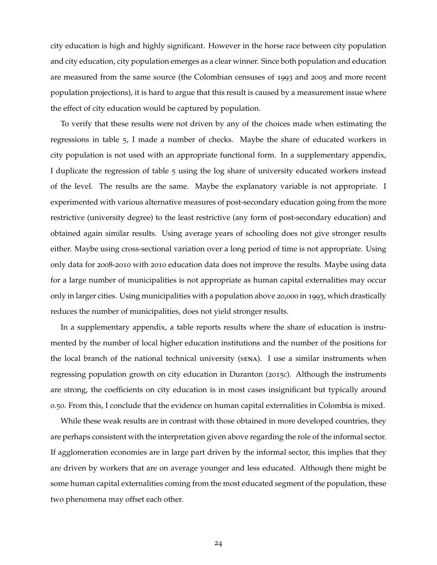city education is high and highly significant. However in the horse race between city population and city education, city population emerges as a clear winner. Since both population and education are measured from the same source (the Colombian censuses of 1993 and 2005 and more recent population projections), it is hard to argue that this result is caused by a measurement issue where the effect of city education would be captured by population.

To verify that these results were not driven by any of the choices made when estimating the regressions in table [5](#page-23-0), I made a number of checks. Maybe the share of educated workers in city population is not used with an appropriate functional form. In a supplementary appendix, I duplicate the regression of table [5](#page-23-0) using the log share of university educated workers instead of the level. The results are the same. Maybe the explanatory variable is not appropriate. I experimented with various alternative measures of post-secondary education going from the more restrictive (university degree) to the least restrictive (any form of post-secondary education) and obtained again similar results. Using average years of schooling does not give stronger results either. Maybe using cross-sectional variation over a long period of time is not appropriate. Using only data for 2008-2010 with 2010 education data does not improve the results. Maybe using data for a large number of municipalities is not appropriate as human capital externalities may occur only in larger cities. Using municipalities with a population above 20,000 in 1993, which drastically reduces the number of municipalities, does not yield stronger results.

In a supplementary appendix, a table reports results where the share of education is instrumented by the number of local higher education institutions and the number of the positions for the local branch of the national technical university (sena). I use a similar instruments when regressing population growth on city education in [Duranton](#page-36-15) ([2015](#page-36-15)*c*). Although the instruments are strong, the coefficients on city education is in most cases insignificant but typically around 0.50. From this, I conclude that the evidence on human capital externalities in Colombia is mixed.

While these weak results are in contrast with those obtained in more developed countries, they are perhaps consistent with the interpretation given above regarding the role of the informal sector. If agglomeration economies are in large part driven by the informal sector, this implies that they are driven by workers that are on average younger and less educated. Although there might be some human capital externalities coming from the most educated segment of the population, these two phenomena may offset each other.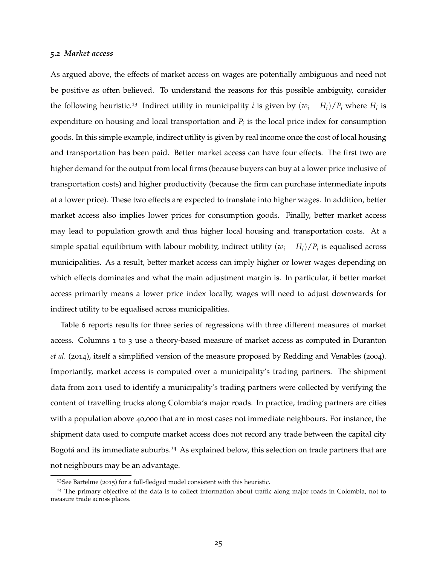#### <span id="page-25-0"></span>*5.2 Market access*

As argued above, the effects of market access on wages are potentially ambiguous and need not be positive as often believed. To understand the reasons for this possible ambiguity, consider the following heuristic.<sup>[13](#page-25-1)</sup> Indirect utility in municipality *i* is given by  $(w_i - H_i)/P_i$  where  $H_i$  is expenditure on housing and local transportation and *P<sup>i</sup>* is the local price index for consumption goods. In this simple example, indirect utility is given by real income once the cost of local housing and transportation has been paid. Better market access can have four effects. The first two are higher demand for the output from local firms (because buyers can buy at a lower price inclusive of transportation costs) and higher productivity (because the firm can purchase intermediate inputs at a lower price). These two effects are expected to translate into higher wages. In addition, better market access also implies lower prices for consumption goods. Finally, better market access may lead to population growth and thus higher local housing and transportation costs. At a simple spatial equilibrium with labour mobility, indirect utility  $(w_i - H_i)/P_i$  is equalised across municipalities. As a result, better market access can imply higher or lower wages depending on which effects dominates and what the main adjustment margin is. In particular, if better market access primarily means a lower price index locally, wages will need to adjust downwards for indirect utility to be equalised across municipalities.

Table [6](#page-26-0) reports results for three series of regressions with three different measures of market access. Columns 1 to 3 use a theory-based measure of market access as computed in [Duranton](#page-36-16) *[et al.](#page-36-16)* ([2014](#page-36-16)), itself a simplified version of the measure proposed by [Redding and Venables](#page-37-12) ([2004](#page-37-12)). Importantly, market access is computed over a municipality's trading partners. The shipment data from 2011 used to identify a municipality's trading partners were collected by verifying the content of travelling trucks along Colombia's major roads. In practice, trading partners are cities with a population above 40,000 that are in most cases not immediate neighbours. For instance, the shipment data used to compute market access does not record any trade between the capital city Bogotá and its immediate suburbs.<sup>[14](#page-25-2)</sup> As explained below, this selection on trade partners that are not neighbours may be an advantage.

<span id="page-25-2"></span><span id="page-25-1"></span><sup>&</sup>lt;sup>13</sup>See [Bartelme](#page-35-11) ([2015](#page-35-11)) for a full-fledged model consistent with this heuristic.

<sup>&</sup>lt;sup>14</sup> The primary objective of the data is to collect information about traffic along major roads in Colombia, not to measure trade across places.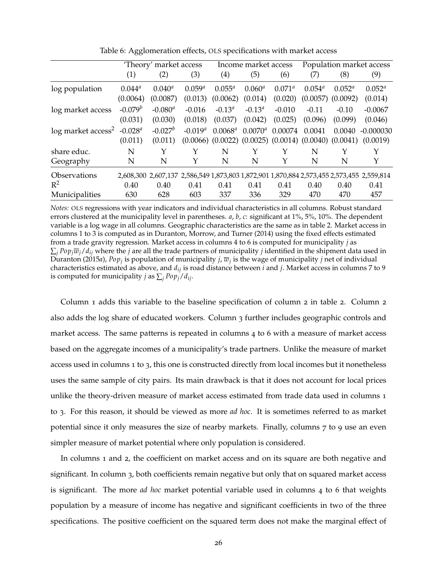|                                   | 'Theory' market access |            |              |                                                                   | Income market access |                 | Population market access |           |                                                                                           |
|-----------------------------------|------------------------|------------|--------------|-------------------------------------------------------------------|----------------------|-----------------|--------------------------|-----------|-------------------------------------------------------------------------------------------|
|                                   | (1)                    | (2)        | (3)          | (4)                                                               | (5)                  | (6)             | (7)                      | (8)       | (9)                                                                                       |
| log population                    | $0.044^{a}$            | $0.040^a$  | $0.059^{a}$  | $0.055^a$                                                         | $0.060^a$            | $0.071^{\circ}$ | $0.054^{\circ}$          | $0.052^a$ | $0.052^a$                                                                                 |
|                                   | (0.0064)               | (0.0087)   | (0.013)      | (0.0062)                                                          | (0.014)              | (0.020)         | (0.0057)                 | (0.0092)  | (0.014)                                                                                   |
| log market access                 | $-0.079^b$             | $-0.080^a$ | $-0.016$     | $-0.13^a$                                                         | $-0.13^a$            | $-0.010$        | $-0.11$                  | $-0.10$   | $-0.0067$                                                                                 |
|                                   | (0.031)                | (0.030)    | (0.018)      | (0.037)                                                           | (0.042)              | (0.025)         | (0.096)                  | (0.099)   | (0.046)                                                                                   |
| $\log$ market access <sup>2</sup> | $-0.028$ <sup>a</sup>  | $-0.027^b$ | $-0.019^{a}$ | $0.0068^a$                                                        | $0.0070^{a}$         | 0.00074         | 0.0041                   | 0.0040    | $-0.000030$                                                                               |
|                                   | (0.011)                | (0.011)    |              | $(0.0066)$ $(0.0022)$ $(0.0025)$ $(0.0014)$ $(0.0040)$ $(0.0041)$ |                      |                 |                          |           | (0.0019)                                                                                  |
| share educ.                       | N                      | Y          | Y            | N                                                                 |                      |                 | N                        | Y         | Y                                                                                         |
| Geography                         | N                      | N          | Y            | N                                                                 | N                    | Y               | N                        | N         | Y                                                                                         |
| Observations                      |                        |            |              |                                                                   |                      |                 |                          |           | 2,608,300 2,607,137 2,586,549 1,873,803 1,872,901 1,870,884 2,573,455 2,573,455 2,559,814 |
| $R^2$                             | 0.40                   | 0.40       | 0.41         | 0.41                                                              | 0.41                 | 0.41            | 0.40                     | 0.40      | 0.41                                                                                      |
| Municipalities                    | 630                    | 628        | 603          | 337                                                               | 336                  | 329             | 470                      | 470       | 457                                                                                       |

<span id="page-26-0"></span>Table 6: Agglomeration effects, OLS specifications with market access

*Notes:* OLS regressions with year indicators and individual characteristics in all columns. Robust standard errors clustered at the municipality level in parentheses. *a*, *b*, *c*: significant at 1%, 5%, 10%. The dependent variable is a log wage in all columns. Geographic characteristics are the same as in table [2.](#page-14-0) Market access in columns 1 to 3 is computed as in [Duranton, Morrow, and Turner](#page-36-16) [\(2014\)](#page-36-16) using the fixed effects estimated from a trade gravity regression. Market access in columns 4 to 6 is computed for municipality *j* as  $\sum_i Pop_i\overline{w}_i/d_{ij}$  where the *j* are all the trade partners of municipality *j* identified in the shipment data used in [Duranton](#page-36-6) [\(2015](#page-36-6) $a$ ), Po $p_j$  is population of municipality *j*,  $\overline{w}_j$  is the wage of municipality *j* net of individual characteristics estimated as above, and *dij* is road distance between *i* and *j*. Market access in columns 7 to 9 is computed for municipality *j* as  $\sum_i Pop_i/d_{ij}$ .

Column 1 adds this variable to the baseline specification of column 2 in table [2](#page-14-0). Column 2 also adds the log share of educated workers. Column 3 further includes geographic controls and market access. The same patterns is repeated in columns 4 to 6 with a measure of market access based on the aggregate incomes of a municipality's trade partners. Unlike the measure of market access used in columns 1 to 3, this one is constructed directly from local incomes but it nonetheless uses the same sample of city pairs. Its main drawback is that it does not account for local prices unlike the theory-driven measure of market access estimated from trade data used in columns 1 to 3. For this reason, it should be viewed as more *ad hoc*. It is sometimes referred to as market potential since it only measures the size of nearby markets. Finally, columns 7 to 9 use an even simpler measure of market potential where only population is considered.

In columns 1 and 2, the coefficient on market access and on its square are both negative and significant. In column 3, both coefficients remain negative but only that on squared market access is significant. The more *ad hoc* market potential variable used in columns 4 to 6 that weights population by a measure of income has negative and significant coefficients in two of the three specifications. The positive coefficient on the squared term does not make the marginal effect of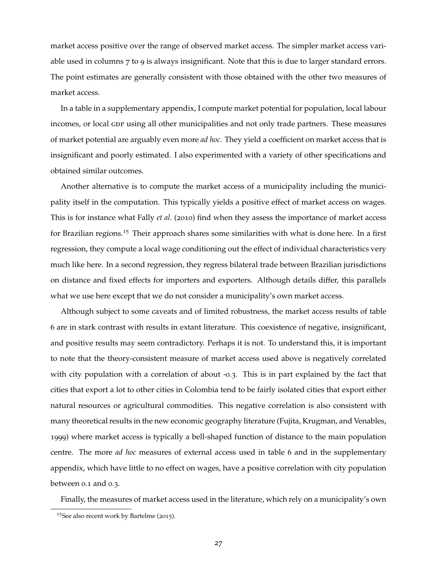market access positive over the range of observed market access. The simpler market access variable used in columns 7 to 9 is always insignificant. Note that this is due to larger standard errors. The point estimates are generally consistent with those obtained with the other two measures of market access.

In a table in a supplementary appendix, I compute market potential for population, local labour incomes, or local GDP using all other municipalities and not only trade partners. These measures of market potential are arguably even more *ad hoc*. They yield a coefficient on market access that is insignificant and poorly estimated. I also experimented with a variety of other specifications and obtained similar outcomes.

Another alternative is to compute the market access of a municipality including the municipality itself in the computation. This typically yields a positive effect of market access on wages. This is for instance what [Fally](#page-36-11) *et al.* ([2010](#page-36-11)) find when they assess the importance of market access for Brazilian regions.<sup>[15](#page-27-0)</sup> Their approach shares some similarities with what is done here. In a first regression, they compute a local wage conditioning out the effect of individual characteristics very much like here. In a second regression, they regress bilateral trade between Brazilian jurisdictions on distance and fixed effects for importers and exporters. Although details differ, this parallels what we use here except that we do not consider a municipality's own market access.

Although subject to some caveats and of limited robustness, the market access results of table [6](#page-26-0) are in stark contrast with results in extant literature. This coexistence of negative, insignificant, and positive results may seem contradictory. Perhaps it is not. To understand this, it is important to note that the theory-consistent measure of market access used above is negatively correlated with city population with a correlation of about -0.3. This is in part explained by the fact that cities that export a lot to other cities in Colombia tend to be fairly isolated cities that export either natural resources or agricultural commodities. This negative correlation is also consistent with many theoretical results in the new economic geography literature [\(Fujita, Krugman, and Venables,](#page-36-17) [1999](#page-36-17)) where market access is typically a bell-shaped function of distance to the main population centre. The more *ad hoc* measures of external access used in table [6](#page-26-0) and in the supplementary appendix, which have little to no effect on wages, have a positive correlation with city population between 0.1 and 0.3.

Finally, the measures of market access used in the literature, which rely on a municipality's own

<span id="page-27-0"></span><sup>15</sup>See also recent work by [Bartelme](#page-35-11) ([2015](#page-35-11)).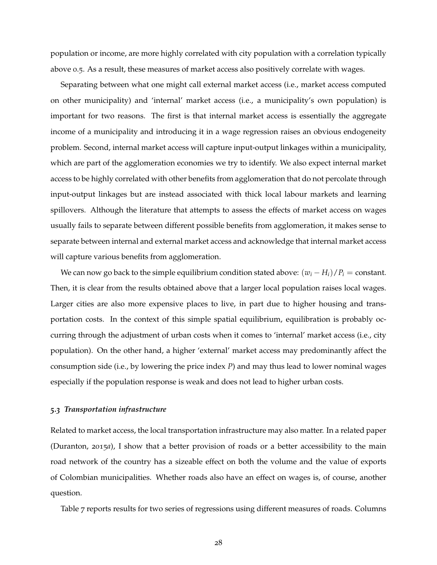population or income, are more highly correlated with city population with a correlation typically above 0.5. As a result, these measures of market access also positively correlate with wages.

Separating between what one might call external market access (i.e., market access computed on other municipality) and 'internal' market access (i.e., a municipality's own population) is important for two reasons. The first is that internal market access is essentially the aggregate income of a municipality and introducing it in a wage regression raises an obvious endogeneity problem. Second, internal market access will capture input-output linkages within a municipality, which are part of the agglomeration economies we try to identify. We also expect internal market access to be highly correlated with other benefits from agglomeration that do not percolate through input-output linkages but are instead associated with thick local labour markets and learning spillovers. Although the literature that attempts to assess the effects of market access on wages usually fails to separate between different possible benefits from agglomeration, it makes sense to separate between internal and external market access and acknowledge that internal market access will capture various benefits from agglomeration.

We can now go back to the simple equilibrium condition stated above:  $(w_i - H_i)/P_i = \text{constant}$ . Then, it is clear from the results obtained above that a larger local population raises local wages. Larger cities are also more expensive places to live, in part due to higher housing and transportation costs. In the context of this simple spatial equilibrium, equilibration is probably occurring through the adjustment of urban costs when it comes to 'internal' market access (i.e., city population). On the other hand, a higher 'external' market access may predominantly affect the consumption side (i.e., by lowering the price index *P*) and may thus lead to lower nominal wages especially if the population response is weak and does not lead to higher urban costs.

### *5.3 Transportation infrastructure*

Related to market access, the local transportation infrastructure may also matter. In a related paper [\(Duranton,](#page-36-6) [2015](#page-36-6)*a*), I show that a better provision of roads or a better accessibility to the main road network of the country has a sizeable effect on both the volume and the value of exports of Colombian municipalities. Whether roads also have an effect on wages is, of course, another question.

Table [7](#page-29-0) reports results for two series of regressions using different measures of roads. Columns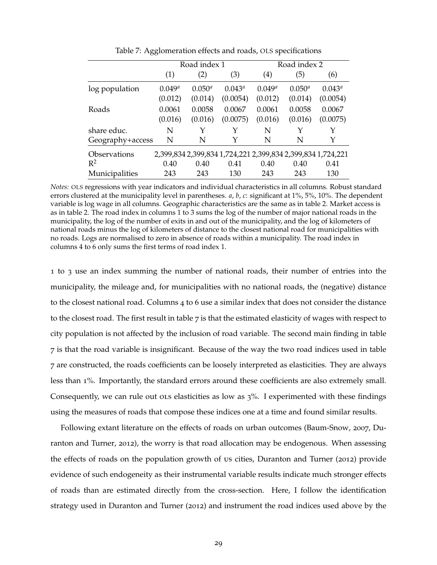|                  |             | Road index 1 |                                                             | Road index 2        |             |                 |  |
|------------------|-------------|--------------|-------------------------------------------------------------|---------------------|-------------|-----------------|--|
|                  | (1)         | (2)          | (3)                                                         | $\scriptstyle{(4)}$ | (5)         | (6)             |  |
| log population   | $0.049^{a}$ | $0.050^{a}$  | $0.043^{\circ}$                                             | $0.049^{a}$         | $0.050^{a}$ | $0.043^{\circ}$ |  |
|                  | (0.012)     | (0.014)      | (0.0054)                                                    | (0.012)             | (0.014)     | (0.0054)        |  |
| Roads            | 0.0061      | 0.0058       | 0.0067                                                      | 0.0061              | 0.0058      | 0.0067          |  |
|                  | (0.016)     | (0.016)      | (0.0075)                                                    | (0.016)             | (0.016)     | (0.0075)        |  |
| share educ.      | N           | Y            | Y                                                           | N                   | Υ           | Y               |  |
| Geography+access | N           | N            | Y                                                           | N                   | N           | Y               |  |
| Observations     |             |              | 2,399,834 2,399,834 1,724,221 2,399,834 2,399,834 1,724,221 |                     |             |                 |  |
| $R^2$            | 0.40        | 0.40         | 0.41                                                        | 0.40                | 0.40        | 0.41            |  |
| Municipalities   | 243         | 243          | 130                                                         | 243                 | 243         | 130             |  |

<span id="page-29-0"></span>Table 7: Agglomeration effects and roads, OLS specifications

*Notes:* OLS regressions with year indicators and individual characteristics in all columns. Robust standard errors clustered at the municipality level in parentheses. *a*, *b*, *c*: significant at 1%, 5%, 10%. The dependent variable is log wage in all columns. Geographic characteristics are the same as in table [2.](#page-14-0) Market access is as in table [2.](#page-14-0) The road index in columns 1 to 3 sums the log of the number of major national roads in the municipality, the log of the number of exits in and out of the municipality, and the log of kilometers of national roads minus the log of kilometers of distance to the closest national road for municipalities with no roads. Logs are normalised to zero in absence of roads within a municipality. The road index in columns 4 to 6 only sums the first terms of road index 1.

1 to 3 use an index summing the number of national roads, their number of entries into the municipality, the mileage and, for municipalities with no national roads, the (negative) distance to the closest national road. Columns 4 to 6 use a similar index that does not consider the distance to the closest road. The first result in table  $7$  is that the estimated elasticity of wages with respect to city population is not affected by the inclusion of road variable. The second main finding in table [7](#page-29-0) is that the road variable is insignificant. Because of the way the two road indices used in table [7](#page-29-0) are constructed, the roads coefficients can be loosely interpreted as elasticities. They are always less than 1%. Importantly, the standard errors around these coefficients are also extremely small. Consequently, we can rule out ols elasticities as low as  $3\%$ . I experimented with these findings using the measures of roads that compose these indices one at a time and found similar results.

Following extant literature on the effects of roads on urban outcomes [\(Baum-Snow,](#page-35-12) [2007](#page-35-12), [Du](#page-36-18)[ranton and Turner,](#page-36-18) [2012](#page-36-18)), the worry is that road allocation may be endogenous. When assessing the effects of roads on the population growth of us cities, [Duranton and Turner](#page-36-18) ([2012](#page-36-18)) provide evidence of such endogeneity as their instrumental variable results indicate much stronger effects of roads than are estimated directly from the cross-section. Here, I follow the identification strategy used in [Duranton and Turner](#page-36-18) ([2012](#page-36-18)) and instrument the road indices used above by the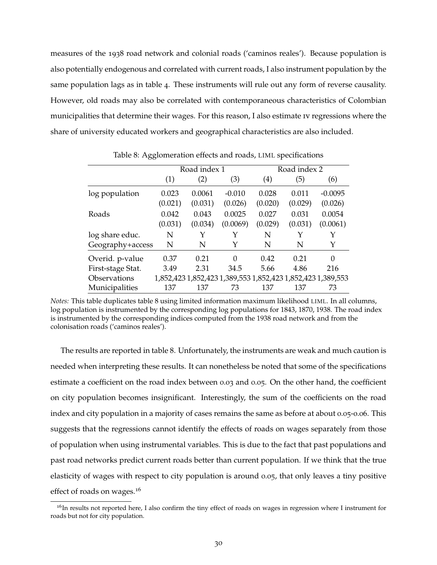measures of the 1938 road network and colonial roads ('caminos reales'). Because population is also potentially endogenous and correlated with current roads, I also instrument population by the same population lags as in table [4](#page-20-0). These instruments will rule out any form of reverse causality. However, old roads may also be correlated with contemporaneous characteristics of Colombian municipalities that determine their wages. For this reason, I also estimate iv regressions where the share of university educated workers and geographical characteristics are also included.

|                   |         | Road index 1 |          | Road index 2 |         |                                                             |  |  |
|-------------------|---------|--------------|----------|--------------|---------|-------------------------------------------------------------|--|--|
|                   | (1)     | (2)          | (3)      | (4)          | (5)     | (6)                                                         |  |  |
| log population    | 0.023   | 0.0061       | $-0.010$ | 0.028        | 0.011   | $-0.0095$                                                   |  |  |
|                   | (0.021) | (0.031)      | (0.026)  | (0.020)      | (0.029) | (0.026)                                                     |  |  |
| Roads             | 0.042   | 0.043        | 0.0025   | 0.027        | 0.031   | 0.0054                                                      |  |  |
|                   | (0.031) | (0.034)      | (0.0069) | (0.029)      | (0.031) | (0.0061)                                                    |  |  |
| log share educ.   | N       | Υ            | Υ        | N            | Υ       | Y                                                           |  |  |
| Geography+access  | N       | N            | Y        | N            | N       | Y                                                           |  |  |
| Overid. p-value   | 0.37    | 0.21         | 0        | 0.42         | 0.21    | $\theta$                                                    |  |  |
| First-stage Stat. | 3.49    | 2.31         | 34.5     | 5.66         | 4.86    | 216                                                         |  |  |
| Observations      |         |              |          |              |         | 1,852,423 1,852,423 1,389,553 1,852,423 1,852,423 1,389,553 |  |  |
| Municipalities    | 137     | 137          | 73       | 137          | 137     | 73                                                          |  |  |

<span id="page-30-0"></span>Table 8: Agglomeration effects and roads, LIML specifications

*Notes:* This table duplicates table [8](#page-30-0) using limited information maximum likelihood LIML. In all columns, log population is instrumented by the corresponding log populations for 1843, 1870, 1938. The road index is instrumented by the corresponding indices computed from the 1938 road network and from the colonisation roads ('caminos reales').

The results are reported in table [8](#page-30-0). Unfortunately, the instruments are weak and much caution is needed when interpreting these results. It can nonetheless be noted that some of the specifications estimate a coefficient on the road index between 0.03 and 0.05. On the other hand, the coefficient on city population becomes insignificant. Interestingly, the sum of the coefficients on the road index and city population in a majority of cases remains the same as before at about 0.05-0.06. This suggests that the regressions cannot identify the effects of roads on wages separately from those of population when using instrumental variables. This is due to the fact that past populations and past road networks predict current roads better than current population. If we think that the true elasticity of wages with respect to city population is around 0.05, that only leaves a tiny positive effect of roads on wages.<sup>[16](#page-30-1)</sup>

<span id="page-30-1"></span><sup>&</sup>lt;sup>16</sup>In results not reported here, I also confirm the tiny effect of roads on wages in regression where I instrument for roads but not for city population.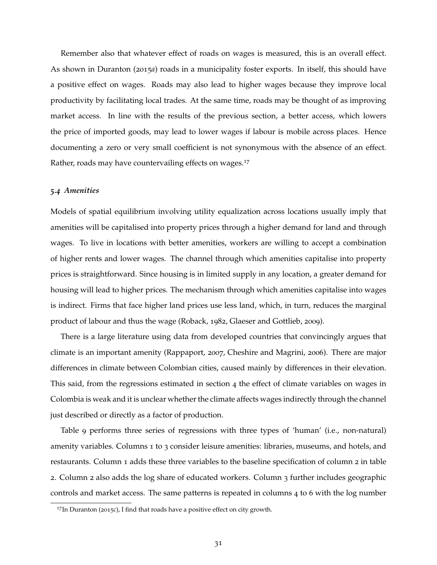Remember also that whatever effect of roads on wages is measured, this is an overall effect. As shown in [Duranton](#page-36-6) ([2015](#page-36-6)*a*) roads in a municipality foster exports. In itself, this should have a positive effect on wages. Roads may also lead to higher wages because they improve local productivity by facilitating local trades. At the same time, roads may be thought of as improving market access. In line with the results of the previous section, a better access, which lowers the price of imported goods, may lead to lower wages if labour is mobile across places. Hence documenting a zero or very small coefficient is not synonymous with the absence of an effect. Rather, roads may have countervailing effects on wages.<sup>[17](#page-31-0)</sup>

### *5.4 Amenities*

Models of spatial equilibrium involving utility equalization across locations usually imply that amenities will be capitalised into property prices through a higher demand for land and through wages. To live in locations with better amenities, workers are willing to accept a combination of higher rents and lower wages. The channel through which amenities capitalise into property prices is straightforward. Since housing is in limited supply in any location, a greater demand for housing will lead to higher prices. The mechanism through which amenities capitalise into wages is indirect. Firms that face higher land prices use less land, which, in turn, reduces the marginal product of labour and thus the wage [\(Roback,](#page-37-16) [1982](#page-37-16), [Glaeser and Gottlieb,](#page-36-13) [2009](#page-36-13)).

There is a large literature using data from developed countries that convincingly argues that climate is an important amenity [\(Rappaport,](#page-37-17) [2007](#page-37-17), [Cheshire and Magrini,](#page-35-16) [2006](#page-35-16)). There are major differences in climate between Colombian cities, caused mainly by differences in their elevation. This said, from the regressions estimated in section [4](#page-13-0) the effect of climate variables on wages in Colombia is weak and it is unclear whether the climate affects wages indirectly through the channel just described or directly as a factor of production.

Table [9](#page-32-0) performs three series of regressions with three types of 'human' (i.e., non-natural) amenity variables. Columns 1 to 3 consider leisure amenities: libraries, museums, and hotels, and restaurants. Column 1 adds these three variables to the baseline specification of column 2 in table [2](#page-14-0). Column 2 also adds the log share of educated workers. Column 3 further includes geographic controls and market access. The same patterns is repeated in columns 4 to 6 with the log number

<span id="page-31-0"></span><sup>&</sup>lt;sup>17</sup>In [Duranton](#page-36-15) ([2015](#page-36-15)*c*), I find that roads have a positive effect on city growth.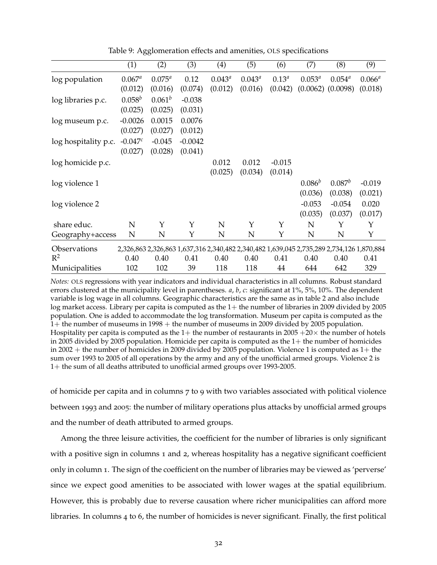|                      | (1)       | (2)         | (3)       | (4)             | (5)       | (6)        | (7)         | (8)                                                                                       | (9)       |
|----------------------|-----------|-------------|-----------|-----------------|-----------|------------|-------------|-------------------------------------------------------------------------------------------|-----------|
| log population       | $0.067^a$ | $0.075^{a}$ | 0.12      | $0.043^{\circ}$ | $0.043^a$ | $0.13^{a}$ | $0.053^{a}$ | $0.054^{a}$                                                                               | $0.066^a$ |
|                      | (0.012)   | (0.016)     | (0.074)   | (0.012)         | (0.016)   | (0.042)    |             | $(0.0062)$ $(0.0098)$                                                                     | (0.018)   |
| log libraries p.c.   | $0.058^b$ | $0.061^{b}$ | $-0.038$  |                 |           |            |             |                                                                                           |           |
|                      | (0.025)   | (0.025)     | (0.031)   |                 |           |            |             |                                                                                           |           |
| log museum p.c.      | $-0.0026$ | 0.0015      | 0.0076    |                 |           |            |             |                                                                                           |           |
|                      | (0.027)   | (0.027)     | (0.012)   |                 |           |            |             |                                                                                           |           |
| log hospitality p.c. | $-0.047c$ | $-0.045$    | $-0.0042$ |                 |           |            |             |                                                                                           |           |
|                      | (0.027)   | (0.028)     | (0.041)   |                 |           |            |             |                                                                                           |           |
| log homicide p.c.    |           |             |           | 0.012           | 0.012     | $-0.015$   |             |                                                                                           |           |
|                      |           |             |           | (0.025)         | (0.034)   | (0.014)    |             |                                                                                           |           |
| log violence 1       |           |             |           |                 |           |            | $0.086^{b}$ | $0.087^b$                                                                                 | $-0.019$  |
|                      |           |             |           |                 |           |            | (0.036)     | (0.038)                                                                                   | (0.021)   |
| log violence 2       |           |             |           |                 |           |            | $-0.053$    | $-0.054$                                                                                  | 0.020     |
|                      |           |             |           |                 |           |            | (0.035)     | (0.037)                                                                                   | (0.017)   |
| share educ.          | N         | Υ           | Y         | N               | Υ         | Υ          | N           | Υ                                                                                         | Y         |
| Geography+access     | N         | N           | Υ         | N               | N         | Υ          | N           | N                                                                                         | Υ         |
| Observations         |           |             |           |                 |           |            |             | 2,326,863 2,326,863 1,637,316 2,340,482 2,340,482 1,639,045 2,735,289 2,734,126 1,870,884 |           |
| $\mathbb{R}^2$       | 0.40      | 0.40        | 0.41      | 0.40            | 0.40      | 0.41       | 0.40        | 0.40                                                                                      | 0.41      |
| Municipalities       | 102       | 102         | 39        | 118             | 118       | 44         | 644         | 642                                                                                       | 329       |

<span id="page-32-0"></span>Table 9: Agglomeration effects and amenities, OLS specifications

*Notes:* OLS regressions with year indicators and individual characteristics in all columns. Robust standard errors clustered at the municipality level in parentheses. *a*, *b*, *c*: significant at 1%, 5%, 10%. The dependent variable is log wage in all columns. Geographic characteristics are the same as in table [2](#page-14-0) and also include log market access. Library per capita is computed as the  $1+$  the number of libraries in 2009 divided by 2005 population. One is added to accommodate the log transformation. Museum per capita is computed as the 1+ the number of museums in 1998 + the number of museums in 2009 divided by 2005 population. Hospitality per capita is computed as the  $1+$  the number of restaurants in 2005  $+20\times$  the number of hotels in 2005 divided by 2005 population. Homicide per capita is computed as the  $1+$  the number of homicides in 2002 + the number of homicides in 2009 divided by 2005 population. Violence 1 is computed as  $1+$  the sum over 1993 to 2005 of all operations by the army and any of the unofficial armed groups. Violence 2 is 1+ the sum of all deaths attributed to unofficial armed groups over 1993-2005.

of homicide per capita and in columns 7 to 9 with two variables associated with political violence between 1993 and 2005: the number of military operations plus attacks by unofficial armed groups and the number of death attributed to armed groups.

Among the three leisure activities, the coefficient for the number of libraries is only significant with a positive sign in columns 1 and 2, whereas hospitality has a negative significant coefficient only in column 1. The sign of the coefficient on the number of libraries may be viewed as 'perverse' since we expect good amenities to be associated with lower wages at the spatial equilibrium. However, this is probably due to reverse causation where richer municipalities can afford more libraries. In columns 4 to 6, the number of homicides is never significant. Finally, the first political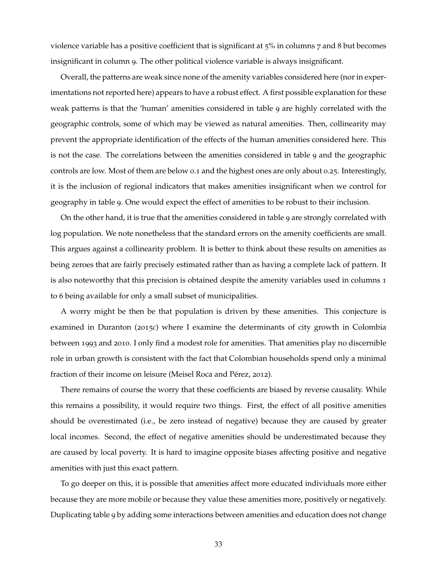violence variable has a positive coefficient that is significant at 5% in columns 7 and 8 but becomes insignificant in column 9. The other political violence variable is always insignificant.

Overall, the patterns are weak since none of the amenity variables considered here (nor in experimentations not reported here) appears to have a robust effect. A first possible explanation for these weak patterns is that the 'human' amenities considered in table [9](#page-32-0) are highly correlated with the geographic controls, some of which may be viewed as natural amenities. Then, collinearity may prevent the appropriate identification of the effects of the human amenities considered here. This is not the case. The correlations between the amenities considered in table [9](#page-32-0) and the geographic controls are low. Most of them are below 0.1 and the highest ones are only about 0.25. Interestingly, it is the inclusion of regional indicators that makes amenities insignificant when we control for geography in table [9](#page-32-0). One would expect the effect of amenities to be robust to their inclusion.

On the other hand, it is true that the amenities considered in table [9](#page-32-0) are strongly correlated with log population. We note nonetheless that the standard errors on the amenity coefficients are small. This argues against a collinearity problem. It is better to think about these results on amenities as being zeroes that are fairly precisely estimated rather than as having a complete lack of pattern. It is also noteworthy that this precision is obtained despite the amenity variables used in columns 1 to 6 being available for only a small subset of municipalities.

A worry might be then be that population is driven by these amenities. This conjecture is examined in [Duranton](#page-36-15) ([2015](#page-36-15)*c*) where I examine the determinants of city growth in Colombia between 1993 and 2010. I only find a modest role for amenities. That amenities play no discernible role in urban growth is consistent with the fact that Colombian households spend only a minimal fraction of their income on leisure [\(Meisel Roca and Pérez,](#page-37-5) [2012](#page-37-5)).

There remains of course the worry that these coefficients are biased by reverse causality. While this remains a possibility, it would require two things. First, the effect of all positive amenities should be overestimated (i.e., be zero instead of negative) because they are caused by greater local incomes. Second, the effect of negative amenities should be underestimated because they are caused by local poverty. It is hard to imagine opposite biases affecting positive and negative amenities with just this exact pattern.

To go deeper on this, it is possible that amenities affect more educated individuals more either because they are more mobile or because they value these amenities more, positively or negatively. Duplicating table [9](#page-32-0) by adding some interactions between amenities and education does not change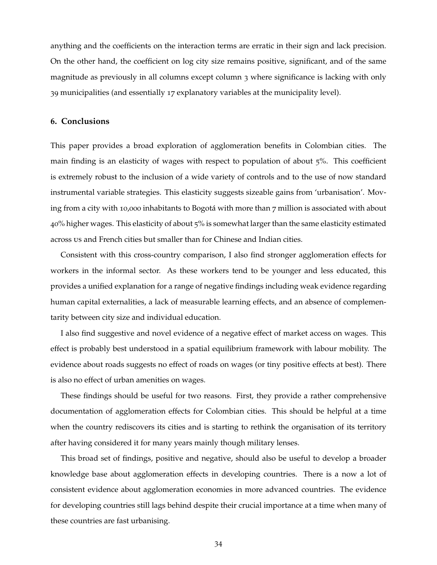anything and the coefficients on the interaction terms are erratic in their sign and lack precision. On the other hand, the coefficient on log city size remains positive, significant, and of the same magnitude as previously in all columns except column 3 where significance is lacking with only 39 municipalities (and essentially 17 explanatory variables at the municipality level).

### <span id="page-34-0"></span>**6. Conclusions**

This paper provides a broad exploration of agglomeration benefits in Colombian cities. The main finding is an elasticity of wages with respect to population of about 5%. This coefficient is extremely robust to the inclusion of a wide variety of controls and to the use of now standard instrumental variable strategies. This elasticity suggests sizeable gains from 'urbanisation'. Moving from a city with 10,000 inhabitants to Bogotá with more than 7 million is associated with about 40% higher wages. This elasticity of about 5% is somewhat larger than the same elasticity estimated across us and French cities but smaller than for Chinese and Indian cities.

Consistent with this cross-country comparison, I also find stronger agglomeration effects for workers in the informal sector. As these workers tend to be younger and less educated, this provides a unified explanation for a range of negative findings including weak evidence regarding human capital externalities, a lack of measurable learning effects, and an absence of complementarity between city size and individual education.

I also find suggestive and novel evidence of a negative effect of market access on wages. This effect is probably best understood in a spatial equilibrium framework with labour mobility. The evidence about roads suggests no effect of roads on wages (or tiny positive effects at best). There is also no effect of urban amenities on wages.

These findings should be useful for two reasons. First, they provide a rather comprehensive documentation of agglomeration effects for Colombian cities. This should be helpful at a time when the country rediscovers its cities and is starting to rethink the organisation of its territory after having considered it for many years mainly though military lenses.

This broad set of findings, positive and negative, should also be useful to develop a broader knowledge base about agglomeration effects in developing countries. There is a now a lot of consistent evidence about agglomeration economies in more advanced countries. The evidence for developing countries still lags behind despite their crucial importance at a time when many of these countries are fast urbanising.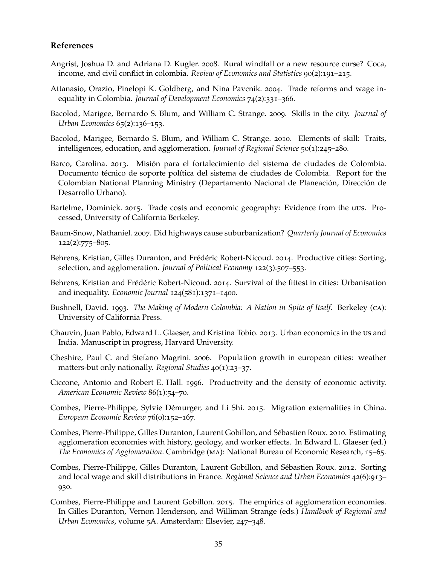### **References**

- <span id="page-35-6"></span>Angrist, Joshua D. and Adriana D. Kugler. 2008. Rural windfall or a new resource curse? Coca, income, and civil conflict in colombia. *Review of Economics and Statistics* 90(2):191–215.
- <span id="page-35-5"></span>Attanasio, Orazio, Pinelopi K. Goldberg, and Nina Pavcnik. 2004. Trade reforms and wage inequality in Colombia. *Journal of Development Economics* 74(2):331–366.
- <span id="page-35-9"></span>Bacolod, Marigee, Bernardo S. Blum, and William C. Strange. 2009. Skills in the city. *Journal of Urban Economics* 65(2):136–153.
- <span id="page-35-10"></span>Bacolod, Marigee, Bernardo S. Blum, and William C. Strange. 2010. Elements of skill: Traits, intelligences, education, and agglomeration. *Journal of Regional Science* 50(1):245–280.
- <span id="page-35-3"></span>Barco, Carolina. 2013. Misión para el fortalecimiento del sistema de ciudades de Colombia. Documento técnico de soporte política del sistema de ciudades de Colombia. Report for the Colombian National Planning Ministry (Departamento Nacional de Planeación, Dirección de Desarrollo Urbano).
- <span id="page-35-11"></span>Bartelme, Dominick. 2015. Trade costs and economic geography: Evidence from the uus. Processed, University of California Berkeley.
- <span id="page-35-12"></span>Baum-Snow, Nathaniel. 2007. Did highways cause suburbanization? *Quarterly Journal of Economics* 122(2):775–805.
- <span id="page-35-13"></span>Behrens, Kristian, Gilles Duranton, and Frédéric Robert-Nicoud. 2014. Productive cities: Sorting, selection, and agglomeration. *Journal of Political Economy* 122(3):507–553.
- <span id="page-35-15"></span>Behrens, Kristian and Frédéric Robert-Nicoud. 2014. Survival of the fittest in cities: Urbanisation and inequality. *Economic Journal* 124(581):1371–1400.
- <span id="page-35-7"></span>Bushnell, David. 1993. *The Making of Modern Colombia: A Nation in Spite of Itself*. Berkeley (ca): University of California Press.
- <span id="page-35-0"></span>Chauvin, Juan Pablo, Edward L. Glaeser, and Kristina Tobio. 2013. Urban economics in the us and India. Manuscript in progress, Harvard University.
- <span id="page-35-16"></span>Cheshire, Paul C. and Stefano Magrini. 2006. Population growth in european cities: weather matters-but only nationally. *Regional Studies* 40(1):23–37.
- <span id="page-35-2"></span>Ciccone, Antonio and Robert E. Hall. 1996. Productivity and the density of economic activity. *American Economic Review* 86(1):54–70.
- <span id="page-35-1"></span>Combes, Pierre-Philippe, Sylvie Démurger, and Li Shi. 2015. Migration externalities in China. *European Economic Review* 76(0):152–167.
- <span id="page-35-4"></span>Combes, Pierre-Philippe, Gilles Duranton, Laurent Gobillon, and Sébastien Roux. 2010. Estimating agglomeration economies with history, geology, and worker effects. In Edward L. Glaeser (ed.) *The Economics of Agglomeration*. Cambridge (ma): National Bureau of Economic Research, 15–65.
- <span id="page-35-14"></span>Combes, Pierre-Philippe, Gilles Duranton, Laurent Gobillon, and Sébastien Roux. 2012. Sorting and local wage and skill distributions in France. *Regional Science and Urban Economics* 42(6):913– 930.
- <span id="page-35-8"></span>Combes, Pierre-Philippe and Laurent Gobillon. 2015. The empirics of agglomeration economies. In Gilles Duranton, Vernon Henderson, and Williman Strange (eds.) *Handbook of Regional and Urban Economics*, volume 5A. Amsterdam: Elsevier, 247–348.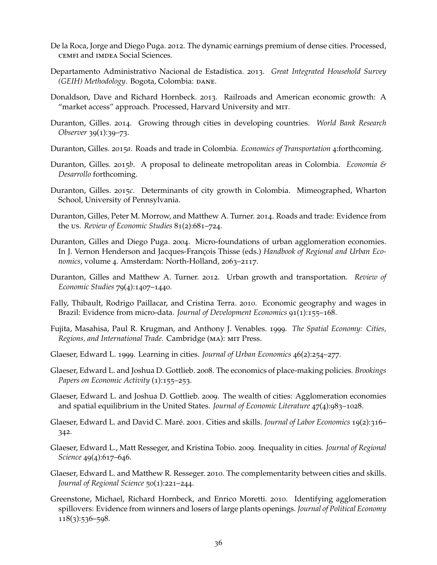- <span id="page-36-2"></span>De la Roca, Jorge and Diego Puga. 2012. The dynamic earnings premium of dense cities. Processed, cemfi and imdea Social Sciences.
- <span id="page-36-5"></span>Departamento Administrativo Nacional de Estadística. 2013. *Great Integrated Household Survey (GEIH) Methodology. Bogota, Colombia: DANE.*
- <span id="page-36-12"></span>Donaldson, Dave and Richard Hornbeck. 2013. Railroads and American economic growth: A "market access" approach. Processed, Harvard University and mit.
- <span id="page-36-0"></span>Duranton, Gilles. 2014. Growing through cities in developing countries. *World Bank Research Observer* 39(1):39–73.
- <span id="page-36-6"></span>Duranton, Gilles. 2015*a*. Roads and trade in Colombia. *Economics of Transportation* 4:forthcoming.
- <span id="page-36-7"></span>Duranton, Gilles. 2015*b*. A proposal to delineate metropolitan areas in Colombia. *Economia & Desarrollo* forthcoming.
- <span id="page-36-15"></span>Duranton, Gilles. 2015*c*. Determinants of city growth in Colombia. Mimeographed, Wharton School, University of Pennsylvania.
- <span id="page-36-16"></span>Duranton, Gilles, Peter M. Morrow, and Matthew A. Turner. 2014. Roads and trade: Evidence from the us. *Review of Economic Studies* 81(2):681–724.
- <span id="page-36-8"></span>Duranton, Gilles and Diego Puga. 2004. Micro-foundations of urban agglomeration economies. In J. Vernon Henderson and Jacques-François Thisse (eds.) *Handbook of Regional and Urban Economics*, volume 4. Amsterdam: North-Holland, 2063–2117.
- <span id="page-36-18"></span>Duranton, Gilles and Matthew A. Turner. 2012. Urban growth and transportation. *Review of Economic Studies* 79(4):1407–1440.
- <span id="page-36-11"></span>Fally, Thibault, Rodrigo Paillacar, and Cristina Terra. 2010. Economic geography and wages in Brazil: Evidence from micro-data. *Journal of Development Economics* 91(1):155–168.
- <span id="page-36-17"></span>Fujita, Masahisa, Paul R. Krugman, and Anthony J. Venables. 1999. *The Spatial Economy: Cities, Regions, and International Trade*. Cambridge (ma): mit Press.
- <span id="page-36-10"></span>Glaeser, Edward L. 1999. Learning in cities. *Journal of Urban Economics* 46(2):254–277.
- <span id="page-36-9"></span>Glaeser, Edward L. and Joshua D. Gottlieb. 2008. The economics of place-making policies. *Brookings* Papers on Economic Activity (1):155-253.
- <span id="page-36-13"></span>Glaeser, Edward L. and Joshua D. Gottlieb. 2009. The wealth of cities: Agglomeration economies and spatial equilibrium in the United States. *Journal of Economic Literature* 47(4):983–1028.
- <span id="page-36-1"></span>Glaeser, Edward L. and David C. Maré. 2001. Cities and skills. *Journal of Labor Economics* 19(2):316– 342.
- <span id="page-36-14"></span>Glaeser, Edward L., Matt Resseger, and Kristina Tobio. 2009. Inequality in cities. *Journal of Regional Science* 49(4):617–646.
- <span id="page-36-3"></span>Glaeser, Edward L. and Matthew R. Resseger. 2010. The complementarity between cities and skills. *Journal of Regional Science* 50(1):221–244.
- <span id="page-36-4"></span>Greenstone, Michael, Richard Hornbeck, and Enrico Moretti. 2010. Identifying agglomeration spillovers: Evidence from winners and losers of large plants openings. *Journal of Political Economy* 118(3):536–598.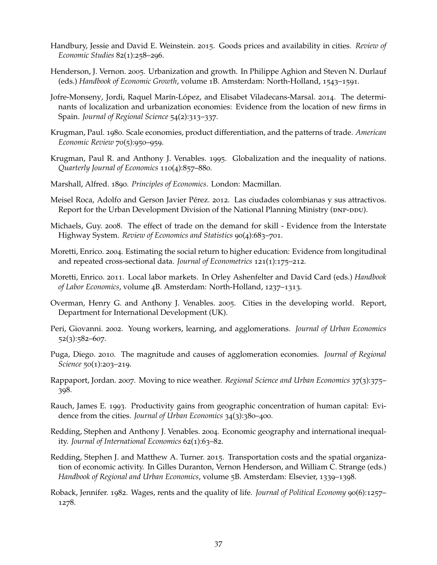- <span id="page-37-13"></span>Handbury, Jessie and David E. Weinstein. 2015. Goods prices and availability in cities. *Review of Economic Studies* 82(1):258–296.
- <span id="page-37-0"></span>Henderson, J. Vernon. 2005. Urbanization and growth. In Philippe Aghion and Steven N. Durlauf (eds.) *Handbook of Economic Growth*, volume 1B. Amsterdam: North-Holland, 1543–1591.
- <span id="page-37-7"></span>Jofre-Monseny, Jordi, Raquel Marín-López, and Elisabet Viladecans-Marsal. 2014. The determinants of localization and urbanization economies: Evidence from the location of new firms in Spain. *Journal of Regional Science* 54(2):313–337.
- <span id="page-37-10"></span>Krugman, Paul. 1980. Scale economies, product differentiation, and the patterns of trade. *American Economic Review* 70(5):950–959.
- <span id="page-37-11"></span>Krugman, Paul R. and Anthony J. Venables. 1995. Globalization and the inequality of nations. *Quarterly Journal of Economics* 110(4):857–880.
- <span id="page-37-6"></span>Marshall, Alfred. 1890. *Principles of Economics*. London: Macmillan.
- <span id="page-37-5"></span>Meisel Roca, Adolfo and Gerson Javier Pérez. 2012. Las ciudades colombianas y sus attractivos. Report for the Urban Development Division of the National Planning Ministry (DNP-DDU).
- <span id="page-37-15"></span>Michaels, Guy. 2008. The effect of trade on the demand for skill - Evidence from the Interstate Highway System. *Review of Economics and Statistics* 90(4):683–701.
- <span id="page-37-4"></span>Moretti, Enrico. 2004. Estimating the social return to higher education: Evidence from longitudinal and repeated cross-sectional data. *Journal of Econometrics* 121(1):175–212.
- <span id="page-37-8"></span>Moretti, Enrico. 2011. Local labor markets. In Orley Ashenfelter and David Card (eds.) *Handbook of Labor Economics*, volume 4B. Amsterdam: North-Holland, 1237–1313.
- <span id="page-37-1"></span>Overman, Henry G. and Anthony J. Venables. 2005. Cities in the developing world. Report, Department for International Development (UK).
- <span id="page-37-9"></span>Peri, Giovanni. 2002. Young workers, learning, and agglomerations. *Journal of Urban Economics* 52(3):582–607.
- <span id="page-37-2"></span>Puga, Diego. 2010. The magnitude and causes of agglomeration economies. *Journal of Regional Science* 50(1):203–219.
- <span id="page-37-17"></span>Rappaport, Jordan. 2007. Moving to nice weather. *Regional Science and Urban Economics* 37(3):375– 398.
- <span id="page-37-3"></span>Rauch, James E. 1993. Productivity gains from geographic concentration of human capital: Evidence from the cities. *Journal of Urban Economics* 34(3):380–400.
- <span id="page-37-12"></span>Redding, Stephen and Anthony J. Venables. 2004. Economic geography and international inequality. *Journal of International Economics* 62(1):63–82.
- <span id="page-37-14"></span>Redding, Stephen J. and Matthew A. Turner. 2015. Transportation costs and the spatial organization of economic activity. In Gilles Duranton, Vernon Henderson, and William C. Strange (eds.) *Handbook of Regional and Urban Economics*, volume 5B. Amsterdam: Elsevier, 1339–1398.
- <span id="page-37-16"></span>Roback, Jennifer. 1982. Wages, rents and the quality of life. *Journal of Political Economy* 90(6):1257– 1278.